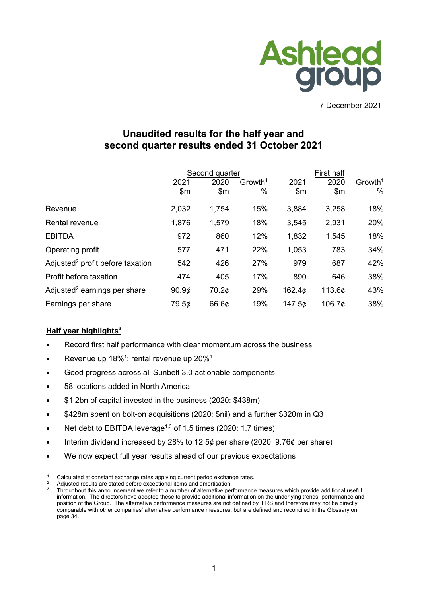

7 December 2021

# **Unaudited results for the half year and second quarter results ended 31 October 2021**

|                                              |                   | Second quarter |                     |              | <b>First half</b> |                     |  |
|----------------------------------------------|-------------------|----------------|---------------------|--------------|-------------------|---------------------|--|
|                                              | <u> 2021</u>      | 2020           | Growth <sup>1</sup> | 2021         | 2020              | Growth <sup>1</sup> |  |
|                                              | \$m\$             | \$m\$          | %                   | $\mathsf{m}$ | \$m\$             | $\%$                |  |
| Revenue                                      | 2,032             | 1,754          | 15%                 | 3,884        | 3,258             | 18%                 |  |
| <b>Rental revenue</b>                        | 1,876             | 1,579          | 18%                 | 3,545        | 2,931             | 20%                 |  |
| <b>EBITDA</b>                                | 972               | 860            | 12%                 | 1,832        | 1,545             | 18%                 |  |
| Operating profit                             | 577               | 471            | 22%                 | 1,053        | 783               | 34%                 |  |
| Adjusted <sup>2</sup> profit before taxation | 542               | 426            | 27%                 | 979          | 687               | 42%                 |  |
| Profit before taxation                       | 474               | 405            | 17%                 | 890          | 646               | 38%                 |  |
| Adjusted <sup>2</sup> earnings per share     | 90.9 <sub>¢</sub> | 70.2¢          | 29%                 | 162.4¢       | 113.6¢            | 43%                 |  |
| Earnings per share                           | 79.5¢             | 66.6¢          | 19%                 | 147.5¢       | 106.7¢            | 38%                 |  |

# **Half year highlights3**

- Record first half performance with clear momentum across the business
- Revenue up 18%<sup>1</sup>; rental revenue up 20%<sup>1</sup>
- Good progress across all Sunbelt 3.0 actionable components
- 58 locations added in North America
- \$1.2bn of capital invested in the business (2020: \$438m)
- \$428m spent on bolt-on acquisitions (2020: \$nil) and a further \$320m in Q3
- Net debt to EBITDA leverage<sup>1,3</sup> of 1.5 times (2020: 1.7 times)
- Interim dividend increased by 28% to 12.5¢ per share (2020: 9.76¢ per share)
- We now expect full year results ahead of our previous expectations

Calculated at constant exchange rates applying current period exchange rates.

Adjusted results are stated before exceptional items and amortisation.

<sup>3</sup> Throughout this announcement we refer to a number of alternative performance measures which provide additional useful information. The directors have adopted these to provide additional information on the underlying trends, performance and position of the Group. The alternative performance measures are not defined by IFRS and therefore may not be directly comparable with other companies' alternative performance measures, but are defined and reconciled in the Glossary on page 34.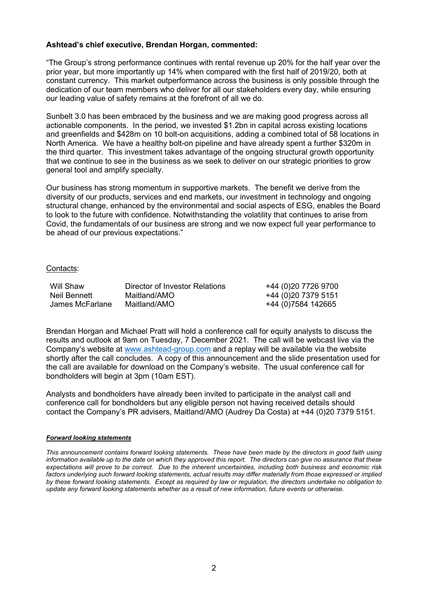# **Ashtead's chief executive, Brendan Horgan, commented:**

"The Group's strong performance continues with rental revenue up 20% for the half year over the prior year, but more importantly up 14% when compared with the first half of 2019/20, both at constant currency. This market outperformance across the business is only possible through the dedication of our team members who deliver for all our stakeholders every day, while ensuring our leading value of safety remains at the forefront of all we do.

Sunbelt 3.0 has been embraced by the business and we are making good progress across all actionable components. In the period, we invested \$1.2bn in capital across existing locations and greenfields and \$428m on 10 bolt-on acquisitions, adding a combined total of 58 locations in North America. We have a healthy bolt-on pipeline and have already spent a further \$320m in the third quarter. This investment takes advantage of the ongoing structural growth opportunity that we continue to see in the business as we seek to deliver on our strategic priorities to grow general tool and amplify specialty.

Our business has strong momentum in supportive markets. The benefit we derive from the diversity of our products, services and end markets, our investment in technology and ongoing structural change, enhanced by the environmental and social aspects of ESG, enables the Board to look to the future with confidence. Notwithstanding the volatility that continues to arise from Covid, the fundamentals of our business are strong and we now expect full year performance to be ahead of our previous expectations."

### Contacts:

| Will Shaw       | Director of Investor Relations | +44 (0)20 7726 9700 |
|-----------------|--------------------------------|---------------------|
| Neil Bennett    | Maitland/AMO                   | +44 (0)20 7379 5151 |
| James McFarlane | Maitland/AMO                   | +44 (0)7584 142665  |

Brendan Horgan and Michael Pratt will hold a conference call for equity analysts to discuss the results and outlook at 9am on Tuesday, 7 December 2021. The call will be webcast live via the Company's website at [www.ashtead-group.com](http://www.ashtead-group.com/) and a replay will be available via the website shortly after the call concludes. A copy of this announcement and the slide presentation used for the call are available for download on the Company's website. The usual conference call for bondholders will begin at 3pm (10am EST).

Analysts and bondholders have already been invited to participate in the analyst call and conference call for bondholders but any eligible person not having received details should contact the Company's PR advisers, Maitland/AMO (Audrey Da Costa) at +44 (0)20 7379 5151.

#### *Forward looking statements*

*This announcement contains forward looking statements. These have been made by the directors in good faith using information available up to the date on which they approved this report. The directors can give no assurance that these expectations will prove to be correct. Due to the inherent uncertainties, including both business and economic risk*  factors underlying such forward looking statements, actual results may differ materially from those expressed or implied *by these forward looking statements. Except as required by law or regulation, the directors undertake no obligation to update any forward looking statements whether as a result of new information, future events or otherwise.*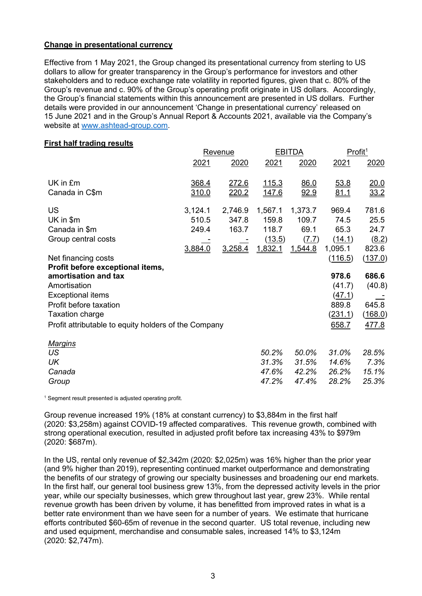### **Change in presentational currency**

Effective from 1 May 2021, the Group changed its presentational currency from sterling to US dollars to allow for greater transparency in the Group's performance for investors and other stakeholders and to reduce exchange rate volatility in reported figures, given that c. 80% of the Group's revenue and c. 90% of the Group's operating profit originate in US dollars. Accordingly, the Group's financial statements within this announcement are presented in US dollars. Further details were provided in our announcement 'Change in presentational currency' released on 15 June 2021 and in the Group's Annual Report & Accounts 2021, available via the Company's website at [www.ashtead-group.com.](http://www.ashtead-group.com/)

### **First half trading results**

|                                                      |         | <u>Revenue</u> |              | <b>EBITDA</b> | Profit <sup>1</sup> |                |
|------------------------------------------------------|---------|----------------|--------------|---------------|---------------------|----------------|
|                                                      | 2021    | 2020           | 2021         | 2020          | 2021                | 2020           |
| UK in £m                                             | 368.4   | 272.6          | <u>115.3</u> | 86.0          | <u>53.8</u>         | <u>20.0</u>    |
| Canada in C\$m                                       | 310.0   | <u> 220.2</u>  | <u>147.6</u> | 92.9          | <u>81.1</u>         | 33.2           |
| <b>US</b>                                            | 3,124.1 | 2,746.9        | 1,567.1      | 1,373.7       | 969.4               | 781.6          |
| UK in \$m                                            | 510.5   | 347.8          | 159.8        | 109.7         | 74.5                | 25.5           |
| Canada in \$m                                        | 249.4   | 163.7          | 118.7        | 69.1          | 65.3                | 24.7           |
| Group central costs                                  |         |                | (13.5)       | (7.7)         | (14.1)              | (8.2)          |
|                                                      | 3,884.0 | 3,258.4        | 1.832.1      | 1,544.8       | 1,095.1             | 823.6          |
| Net financing costs                                  |         |                |              |               | (116.5)             | (137.0)        |
| Profit before exceptional items,                     |         |                |              |               |                     |                |
| amortisation and tax                                 |         |                |              |               | 978.6               | 686.6          |
| Amortisation                                         |         |                |              |               | (41.7)              | (40.8)         |
| <b>Exceptional items</b>                             |         |                |              |               | (47.1)              |                |
| Profit before taxation                               |         |                |              |               | 889.8               | 645.8          |
| <b>Taxation charge</b>                               |         |                |              |               | (231.1)             | <u>(168.0)</u> |
| Profit attributable to equity holders of the Company |         |                |              |               | 658.7               | 477.8          |
| <b>Margins</b>                                       |         |                |              |               |                     |                |
| US                                                   |         |                | 50.2%        | 50.0%         | 31.0%               | 28.5%          |
| UK                                                   |         |                | 31.3%        | 31.5%         | 14.6%               | 7.3%           |
| Canada                                               |         |                | 47.6%        | 42.2%         | 26.2%               | 15.1%          |
| Group                                                |         |                | 47.2%        | 47.4%         | 28.2%               | 25.3%          |

<sup>1</sup> Segment result presented is adjusted operating profit.

Group revenue increased 19% (18% at constant currency) to \$3,884m in the first half (2020: \$3,258m) against COVID-19 affected comparatives. This revenue growth, combined with strong operational execution, resulted in adjusted profit before tax increasing 43% to \$979m (2020: \$687m).

In the US, rental only revenue of \$2,342m (2020: \$2,025m) was 16% higher than the prior year (and 9% higher than 2019), representing continued market outperformance and demonstrating the benefits of our strategy of growing our specialty businesses and broadening our end markets. In the first half, our general tool business grew 13%, from the depressed activity levels in the prior year, while our specialty businesses, which grew throughout last year, grew 23%. While rental revenue growth has been driven by volume, it has benefitted from improved rates in what is a better rate environment than we have seen for a number of years. We estimate that hurricane efforts contributed \$60-65m of revenue in the second quarter. US total revenue, including new and used equipment, merchandise and consumable sales, increased 14% to \$3,124m (2020: \$2,747m).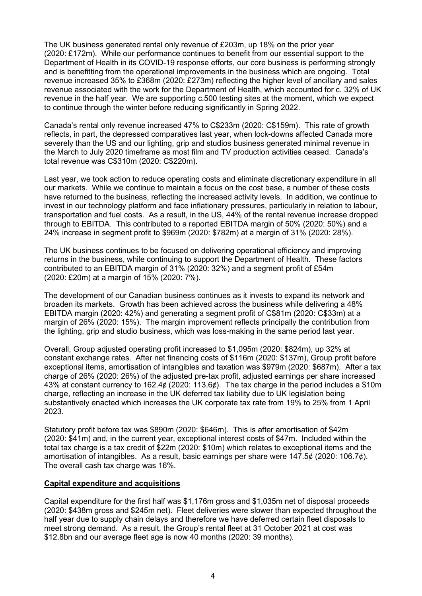The UK business generated rental only revenue of £203m, up 18% on the prior year (2020: £172m). While our performance continues to benefit from our essential support to the Department of Health in its COVID-19 response efforts, our core business is performing strongly and is benefitting from the operational improvements in the business which are ongoing. Total revenue increased 35% to £368m (2020: £273m) reflecting the higher level of ancillary and sales revenue associated with the work for the Department of Health, which accounted for c. 32% of UK revenue in the half year. We are supporting c.500 testing sites at the moment, which we expect to continue through the winter before reducing significantly in Spring 2022.

Canada's rental only revenue increased 47% to C\$233m (2020: C\$159m). This rate of growth reflects, in part, the depressed comparatives last year, when lock-downs affected Canada more severely than the US and our lighting, grip and studios business generated minimal revenue in the March to July 2020 timeframe as most film and TV production activities ceased. Canada's total revenue was C\$310m (2020: C\$220m).

Last year, we took action to reduce operating costs and eliminate discretionary expenditure in all our markets. While we continue to maintain a focus on the cost base, a number of these costs have returned to the business, reflecting the increased activity levels. In addition, we continue to invest in our technology platform and face inflationary pressures, particularly in relation to labour, transportation and fuel costs. As a result, in the US, 44% of the rental revenue increase dropped through to EBITDA. This contributed to a reported EBITDA margin of 50% (2020: 50%) and a 24% increase in segment profit to \$969m (2020: \$782m) at a margin of 31% (2020: 28%).

The UK business continues to be focused on delivering operational efficiency and improving returns in the business, while continuing to support the Department of Health. These factors contributed to an EBITDA margin of 31% (2020: 32%) and a segment profit of £54m (2020: £20m) at a margin of 15% (2020: 7%).

The development of our Canadian business continues as it invests to expand its network and broaden its markets. Growth has been achieved across the business while delivering a 48% EBITDA margin (2020: 42%) and generating a segment profit of C\$81m (2020: C\$33m) at a margin of 26% (2020: 15%). The margin improvement reflects principally the contribution from the lighting, grip and studio business, which was loss-making in the same period last year.

Overall, Group adjusted operating profit increased to \$1,095m (2020: \$824m), up 32% at constant exchange rates. After net financing costs of \$116m (2020: \$137m), Group profit before exceptional items, amortisation of intangibles and taxation was \$979m (2020: \$687m). After a tax charge of 26% (2020: 26%) of the adjusted pre-tax profit, adjusted earnings per share increased 43% at constant currency to 162.4¢ (2020: 113.6¢). The tax charge in the period includes a \$10m charge, reflecting an increase in the UK deferred tax liability due to UK legislation being substantively enacted which increases the UK corporate tax rate from 19% to 25% from 1 April 2023.

Statutory profit before tax was \$890m (2020: \$646m). This is after amortisation of \$42m (2020: \$41m) and, in the current year, exceptional interest costs of \$47m. Included within the total tax charge is a tax credit of \$22m (2020: \$10m) which relates to exceptional items and the amortisation of intangibles. As a result, basic earnings per share were  $147.5¢$  (2020: 106.7 $¢$ ). The overall cash tax charge was 16%.

### **Capital expenditure and acquisitions**

Capital expenditure for the first half was \$1,176m gross and \$1,035m net of disposal proceeds (2020: \$438m gross and \$245m net). Fleet deliveries were slower than expected throughout the half year due to supply chain delays and therefore we have deferred certain fleet disposals to meet strong demand. As a result, the Group's rental fleet at 31 October 2021 at cost was \$12.8bn and our average fleet age is now 40 months (2020: 39 months).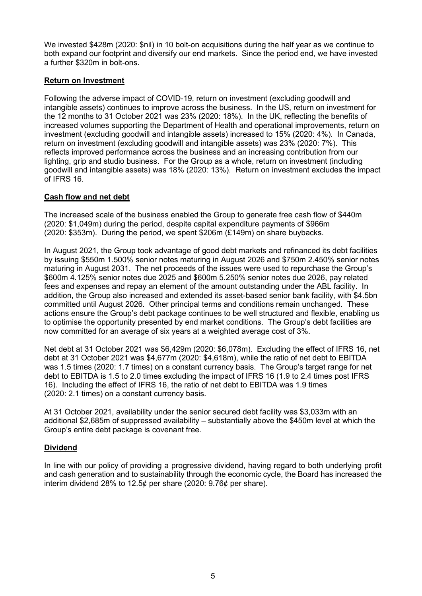We invested \$428m (2020: \$nil) in 10 bolt-on acquisitions during the half year as we continue to both expand our footprint and diversify our end markets. Since the period end, we have invested a further \$320m in bolt-ons.

# **Return on Investment**

Following the adverse impact of COVID-19, return on investment (excluding goodwill and intangible assets) continues to improve across the business. In the US, return on investment for the 12 months to 31 October 2021 was 23% (2020: 18%). In the UK, reflecting the benefits of increased volumes supporting the Department of Health and operational improvements, return on investment (excluding goodwill and intangible assets) increased to 15% (2020: 4%). In Canada, return on investment (excluding goodwill and intangible assets) was 23% (2020: 7%). This reflects improved performance across the business and an increasing contribution from our lighting, grip and studio business. For the Group as a whole, return on investment (including goodwill and intangible assets) was 18% (2020: 13%). Return on investment excludes the impact of IFRS 16.

# **Cash flow and net debt**

The increased scale of the business enabled the Group to generate free cash flow of \$440m (2020: \$1,049m) during the period, despite capital expenditure payments of \$966m (2020: \$353m). During the period, we spent \$206m (£149m) on share buybacks.

In August 2021, the Group took advantage of good debt markets and refinanced its debt facilities by issuing \$550m 1.500% senior notes maturing in August 2026 and \$750m 2.450% senior notes maturing in August 2031. The net proceeds of the issues were used to repurchase the Group's \$600m 4.125% senior notes due 2025 and \$600m 5.250% senior notes due 2026, pay related fees and expenses and repay an element of the amount outstanding under the ABL facility. In addition, the Group also increased and extended its asset-based senior bank facility, with \$4.5bn committed until August 2026. Other principal terms and conditions remain unchanged. These actions ensure the Group's debt package continues to be well structured and flexible, enabling us to optimise the opportunity presented by end market conditions. The Group's debt facilities are now committed for an average of six years at a weighted average cost of 3%.

Net debt at 31 October 2021 was \$6,429m (2020: \$6,078m). Excluding the effect of IFRS 16, net debt at 31 October 2021 was \$4,677m (2020: \$4,618m), while the ratio of net debt to EBITDA was 1.5 times (2020: 1.7 times) on a constant currency basis. The Group's target range for net debt to EBITDA is 1.5 to 2.0 times excluding the impact of IFRS 16 (1.9 to 2.4 times post IFRS 16). Including the effect of IFRS 16, the ratio of net debt to EBITDA was 1.9 times (2020: 2.1 times) on a constant currency basis.

At 31 October 2021, availability under the senior secured debt facility was \$3,033m with an additional \$2,685m of suppressed availability – substantially above the \$450m level at which the Group's entire debt package is covenant free.

# **Dividend**

In line with our policy of providing a progressive dividend, having regard to both underlying profit and cash generation and to sustainability through the economic cycle, the Board has increased the interim dividend 28% to 12.5¢ per share (2020: 9.76¢ per share).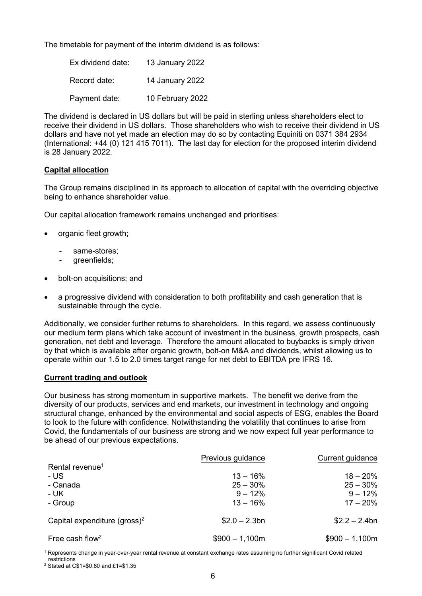The timetable for payment of the interim dividend is as follows:

| Ex dividend date: | 13 January 2022  |
|-------------------|------------------|
| Record date:      | 14 January 2022  |
| Payment date:     | 10 February 2022 |

The dividend is declared in US dollars but will be paid in sterling unless shareholders elect to receive their dividend in US dollars. Those shareholders who wish to receive their dividend in US dollars and have not yet made an election may do so by contacting Equiniti on 0371 384 2934 (International: +44 (0) 121 415 7011). The last day for election for the proposed interim dividend is 28 January 2022.

# **Capital allocation**

The Group remains disciplined in its approach to allocation of capital with the overriding objective being to enhance shareholder value.

Our capital allocation framework remains unchanged and prioritises:

- organic fleet growth;
	- same-stores;
	- areenfields:
- bolt-on acquisitions; and
- a progressive dividend with consideration to both profitability and cash generation that is sustainable through the cycle.

Additionally, we consider further returns to shareholders. In this regard, we assess continuously our medium term plans which take account of investment in the business, growth prospects, cash generation, net debt and leverage. Therefore the amount allocated to buybacks is simply driven by that which is available after organic growth, bolt-on M&A and dividends, whilst allowing us to operate within our 1.5 to 2.0 times target range for net debt to EBITDA pre IFRS 16.

#### **Current trading and outlook**

Our business has strong momentum in supportive markets. The benefit we derive from the diversity of our products, services and end markets, our investment in technology and ongoing structural change, enhanced by the environmental and social aspects of ESG, enables the Board to look to the future with confidence. Notwithstanding the volatility that continues to arise from Covid, the fundamentals of our business are strong and we now expect full year performance to be ahead of our previous expectations.

|                                          | Previous guidance | Current guidance |
|------------------------------------------|-------------------|------------------|
| Rental revenue <sup>1</sup>              |                   |                  |
| - US                                     | $13 - 16%$        | $18 - 20%$       |
| - Canada                                 | $25 - 30%$        | $25 - 30%$       |
| - UK                                     | $9 - 12\%$        | $9 - 12\%$       |
| - Group                                  | $13 - 16%$        | $17 - 20%$       |
| Capital expenditure (gross) <sup>2</sup> | $$2.0 - 2.3$ bn   | $$2.2 - 2.4$ bn  |
| Free cash flow <sup>2</sup>              | $$900 - 1,100m$   | $$900 - 1,100m$  |

<sup>1</sup> Represents change in year-over-year rental revenue at constant exchange rates assuming no further significant Covid related restrictions

<sup>2</sup> Stated at C\$1=\$0.80 and £1=\$1.35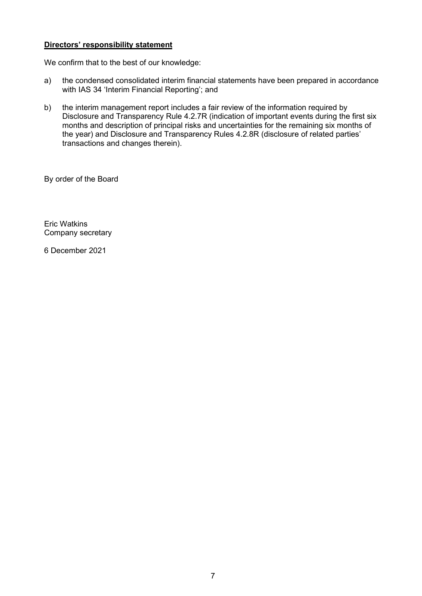### **Directors' responsibility statement**

We confirm that to the best of our knowledge:

- a) the condensed consolidated interim financial statements have been prepared in accordance with IAS 34 'Interim Financial Reporting'; and
- b) the interim management report includes a fair review of the information required by Disclosure and Transparency Rule 4.2.7R (indication of important events during the first six months and description of principal risks and uncertainties for the remaining six months of the year) and Disclosure and Transparency Rules 4.2.8R (disclosure of related parties' transactions and changes therein).

By order of the Board

Eric Watkins Company secretary

6 December 2021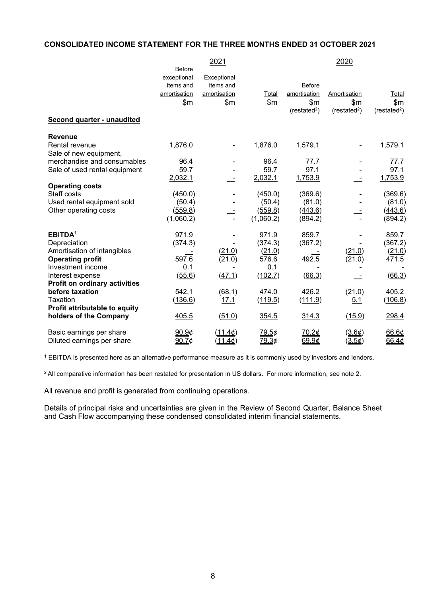### **CONSOLIDATED INCOME STATEMENT FOR THE THREE MONTHS ENDED 31 OCTOBER 2021**

|                                      |               | 2021         |           |                         | 2020                    |                         |
|--------------------------------------|---------------|--------------|-----------|-------------------------|-------------------------|-------------------------|
|                                      | <b>Before</b> |              |           |                         |                         |                         |
|                                      | exceptional   | Exceptional  |           |                         |                         |                         |
|                                      | items and     | items and    |           | <b>Before</b>           |                         |                         |
|                                      | amortisation  | amortisation | Total     | amortisation            | Amortisation            | Total                   |
|                                      | \$m\$         | \$m\$        | \$m\$     | \$m                     | \$m\$                   | \$m\$                   |
|                                      |               |              |           | (resated <sup>2</sup> ) | (resated <sup>2</sup> ) | (resated <sup>2</sup> ) |
| Second quarter - unaudited           |               |              |           |                         |                         |                         |
| <b>Revenue</b>                       |               |              |           |                         |                         |                         |
| Rental revenue                       | 1,876.0       |              | 1,876.0   | 1,579.1                 |                         | 1,579.1                 |
| Sale of new equipment,               |               |              |           |                         |                         |                         |
| merchandise and consumables          | 96.4          |              | 96.4      | 77.7                    |                         | 77.7                    |
| Sale of used rental equipment        | 59.7          |              | 59.7      | 97.1                    |                         | 97.1                    |
|                                      | 2,032.1       |              | 2,032.1   | 1,753.9                 |                         | 1,753.9                 |
| <b>Operating costs</b>               |               |              |           |                         |                         |                         |
| Staff costs                          | (450.0)       |              | (450.0)   | (369.6)                 |                         | (369.6)                 |
| Used rental equipment sold           | (50.4)        |              | (50.4)    | (81.0)                  |                         | (81.0)                  |
| Other operating costs                | (559.8)       |              | (559.8)   | (443.6)                 |                         | (443.6)                 |
|                                      | (1,060.2)     |              | (1,060.2) | (894.2)                 |                         | (894.2)                 |
| EBITDA <sup>1</sup>                  | 971.9         |              | 971.9     | 859.7                   |                         | 859.7                   |
| Depreciation                         | (374.3)       |              | (374.3)   | (367.2)                 |                         | (367.2)                 |
| Amortisation of intangibles          |               | (21.0)       | (21.0)    |                         | (21.0)                  | (21.0)                  |
| <b>Operating profit</b>              | 597.6         | (21.0)       | 576.6     | 492.5                   | (21.0)                  | 471.5                   |
| Investment income                    | 0.1           |              | 0.1       |                         |                         |                         |
| Interest expense                     | (55.6)        | (47.1)       | (102.7)   | (66.3)                  |                         | (66.3)                  |
| <b>Profit on ordinary activities</b> |               |              |           |                         |                         |                         |
| before taxation                      | 542.1         | (68.1)       | 474.0     | 426.2                   | (21.0)                  | 405.2                   |
| Taxation                             | (136.6)       | 17.1         | (119.5)   | (111.9)                 | 5.1                     | (106.8)                 |
| Profit attributable to equity        |               |              |           |                         |                         |                         |
| holders of the Company               | 405.5         | (51.0)       | 354.5     | 314.3                   | (15.9)                  | 298.4                   |
| Basic earnings per share             | 90.96         | (11.4¢)      | 79.5¢     | 70.26                   | (3.6¢)                  | 66.6¢                   |
| Diluted earnings per share           | $90.7\phi$    | (11.4)       | 79.3¢     | 69.90                   | (3.5¢)                  | 66.4¢                   |

<sup>1</sup> EBITDA is presented here as an alternative performance measure as it is commonly used by investors and lenders.

<sup>2</sup> All comparative information has been restated for presentation in US dollars. For more information, see note 2.

All revenue and profit is generated from continuing operations.

Details of principal risks and uncertainties are given in the Review of Second Quarter, Balance Sheet and Cash Flow accompanying these condensed consolidated interim financial statements.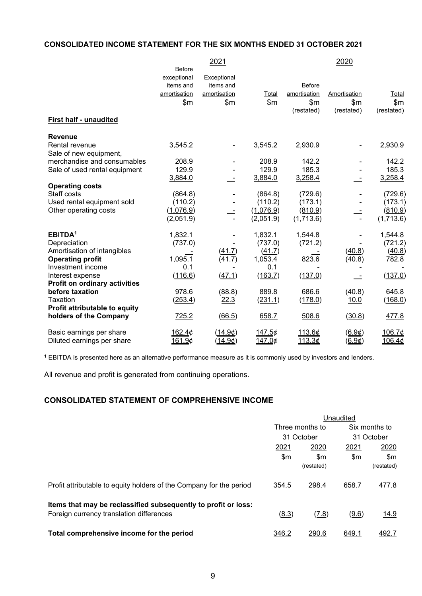## **CONSOLIDATED INCOME STATEMENT FOR THE SIX MONTHS ENDED 31 OCTOBER 2021**

|                                      |               | 2021         |           |               | 2020         |            |
|--------------------------------------|---------------|--------------|-----------|---------------|--------------|------------|
|                                      | <b>Before</b> |              |           |               |              |            |
|                                      | exceptional   | Exceptional  |           |               |              |            |
|                                      | items and     | items and    |           | <b>Before</b> |              |            |
|                                      | amortisation  | amortisation | Total     | amortisation  | Amortisation | Total      |
|                                      | \$m\$         | \$m\$        | \$m\$     | \$m           | \$m\$        | \$m\$      |
|                                      |               |              |           | (restated)    | (restated)   | (restated) |
| First half - unaudited               |               |              |           |               |              |            |
| <b>Revenue</b>                       |               |              |           |               |              |            |
| Rental revenue                       | 3,545.2       |              | 3,545.2   | 2,930.9       |              | 2,930.9    |
| Sale of new equipment,               |               |              |           |               |              |            |
| merchandise and consumables          | 208.9         |              | 208.9     | 142.2         |              | 142.2      |
| Sale of used rental equipment        | 129.9         |              | 129.9     | 185.3         |              | 185.3      |
|                                      | 3,884.0       | $\sim$       | 3,884.0   | 3,258.4       | $\sim$       | 3,258.4    |
| <b>Operating costs</b>               |               |              |           |               |              |            |
| Staff costs                          | (864.8)       |              | (864.8)   | (729.6)       |              | (729.6)    |
| Used rental equipment sold           | (110.2)       |              | (110.2)   | (173.1)       |              | (173.1)    |
| Other operating costs                | (1,076.9)     |              | (1,076.9) | (810.9)       |              | (810.9)    |
|                                      | (2,051.9)     |              | (2,051.9) | (1,713.6)     |              | (1,713.6)  |
| EBITDA <sup>1</sup>                  | 1,832.1       |              | 1,832.1   | 1,544.8       |              | 1,544.8    |
| Depreciation                         | (737.0)       |              | (737.0)   | (721.2)       |              | (721.2)    |
| Amortisation of intangibles          |               | (41.7)       | (41.7)    |               | (40.8)       | (40.8)     |
| <b>Operating profit</b>              | 1,095.1       | (41.7)       | 1,053.4   | 823.6         | (40.8)       | 782.8      |
| Investment income                    | 0.1           |              | 0.1       |               |              |            |
| Interest expense                     | (116.6)       | (47.1)       | (163.7)   | (137.0)       |              | (137.0)    |
| <b>Profit on ordinary activities</b> |               |              |           |               |              |            |
| before taxation                      | 978.6         | (88.8)       | 889.8     | 686.6         | (40.8)       | 645.8      |
| Taxation                             | (253.4)       | 22.3         | (231.1)   | (178.0)       | 10.0         | (168.0)    |
| Profit attributable to equity        |               |              |           |               |              |            |
| holders of the Company               | 725.2         | (66.5)       | 658.7     | 508.6         | (30.8)       | 477.8      |
| Basic earnings per share             | 162.4¢        | (14.9¢)      | 147.5¢    | 113.6¢        | (6.9¢)       | 106.7¢     |
| Diluted earnings per share           | 161.9¢        | (14.9c)      | 147.0¢    | 113.30        | (6.9¢)       | 106.4¢     |

**<sup>1</sup>** EBITDA is presented here as an alternative performance measure as it is commonly used by investors and lenders.

All revenue and profit is generated from continuing operations.

# **CONSOLIDATED STATEMENT OF COMPREHENSIVE INCOME**

|                                                                                                            |       | Unaudited       |       |               |
|------------------------------------------------------------------------------------------------------------|-------|-----------------|-------|---------------|
|                                                                                                            |       | Three months to |       | Six months to |
|                                                                                                            |       | 31 October      |       | 31 October    |
|                                                                                                            | 2021  | 2020            | 2021  | 2020          |
|                                                                                                            | \$m   | \$m             | \$m   | \$m           |
|                                                                                                            |       | (restated)      |       | (restated)    |
| Profit attributable to equity holders of the Company for the period                                        | 354.5 | 298.4           | 658.7 | 477.8         |
| Items that may be reclassified subsequently to profit or loss:<br>Foreign currency translation differences | (8.3) | (7.8)           | (9.6) | <u>14.9</u>   |
| Total comprehensive income for the period                                                                  | 346.2 | <u> 290.6</u>   | 649.1 | <u>492.7</u>  |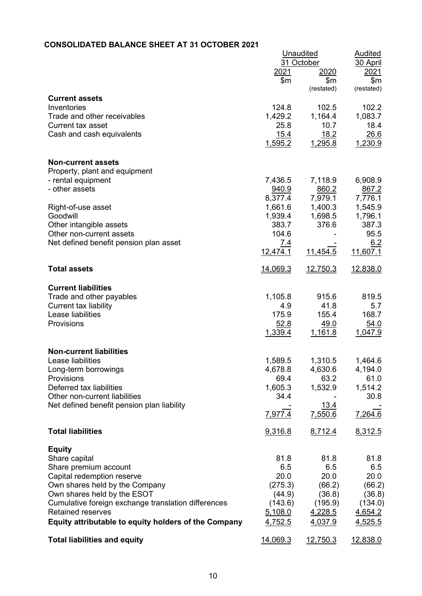# **CONSOLIDATED BALANCE SHEET AT 31 OCTOBER 2021**

|                                                               |                   | <u>Unaudited</u><br>31 October | <u>Audited</u><br>30 April |
|---------------------------------------------------------------|-------------------|--------------------------------|----------------------------|
|                                                               | 2021              | <u> 2020</u>                   | 2021                       |
|                                                               | \$m               | \$m                            | \$m                        |
| <b>Current assets</b>                                         |                   | (restated)                     | (restated)                 |
| Inventories                                                   | 124.8             | 102.5                          | 102.2                      |
| Trade and other receivables                                   | 1,429.2           | 1,164.4                        | 1,083.7                    |
| <b>Current tax asset</b>                                      | 25.8              | 10.7                           | 18.4                       |
| Cash and cash equivalents                                     | 15.4              | 18.2                           | 26.6                       |
|                                                               | 1,595.2           | 1,295.8                        | 1,230.9                    |
| <b>Non-current assets</b>                                     |                   |                                |                            |
| Property, plant and equipment                                 |                   |                                |                            |
| - rental equipment                                            | 7,436.5           | 7,118.9                        | 6,908.9                    |
| - other assets                                                | 940.9             | 860.2                          | 867.2                      |
|                                                               | 8,377.4           | 7,979.1                        | 7,776.1                    |
| Right-of-use asset                                            | 1,661.6           | 1,400.3                        | 1,545.9                    |
| Goodwill<br>Other intangible assets                           | 1,939.4<br>383.7  | 1,698.5<br>376.6               | 1,796.1<br>387.3           |
| Other non-current assets                                      | 104.6             |                                | 95.5                       |
| Net defined benefit pension plan asset                        | <u>7.4</u>        |                                | 6.2                        |
|                                                               | 12,474.1          | 11,454.5                       | 11,607.1                   |
| <b>Total assets</b>                                           | 14,069.3          | 12,750.3                       | 12,838.0                   |
|                                                               |                   |                                |                            |
| <b>Current liabilities</b>                                    |                   |                                |                            |
| Trade and other payables<br><b>Current tax liability</b>      | 1,105.8<br>4.9    | 915.6<br>41.8                  | 819.5<br>5.7               |
| Lease liabilities                                             | 175.9             | 155.4                          | 168.7                      |
| Provisions                                                    | 52.8              | 49.0                           | 54.0                       |
|                                                               | 1,339.4           | 1,161.8                        | 1,047.9                    |
| <b>Non-current liabilities</b>                                |                   |                                |                            |
| Lease liabilities                                             | 1,589.5           | 1,310.5                        | 1,464.6                    |
| Long-term borrowings                                          | 4,678.8           | 4,630.6                        | 4,194.0                    |
| Provisions                                                    | 69.4              | 63.2                           | 61.0                       |
| Deferred tax liabilities                                      | 1,605.3           | 1,532.9                        | 1,514.2                    |
| Other non-current liabilities                                 | 34.4              |                                | 30.8                       |
| Net defined benefit pension plan liability                    | 7,977.4           | 13.4<br>7,550.6                | 7,264.6                    |
|                                                               |                   |                                |                            |
| <b>Total liabilities</b>                                      | 9,316.8           | 8,712.4                        | 8,312.5                    |
| <b>Equity</b>                                                 |                   |                                |                            |
| Share capital                                                 | 81.8              | 81.8                           | 81.8                       |
| Share premium account                                         | 6.5               | 6.5                            | 6.5                        |
| Capital redemption reserve                                    | 20.0              | 20.0<br>(66.2)                 | 20.0<br>(66.2)             |
| Own shares held by the Company<br>Own shares held by the ESOT | (275.3)<br>(44.9) | (36.8)                         | (36.8)                     |
| Cumulative foreign exchange translation differences           | (143.6)           | (195.9)                        | (134.0)                    |
| <b>Retained reserves</b>                                      | 5,108.0           | 4,228.5                        | 4,654.2                    |
| Equity attributable to equity holders of the Company          | 4,752.5           | 4,037.9                        | 4,525.5                    |
| <b>Total liabilities and equity</b>                           | 14,069.3          | 12,750.3                       | 12,838.0                   |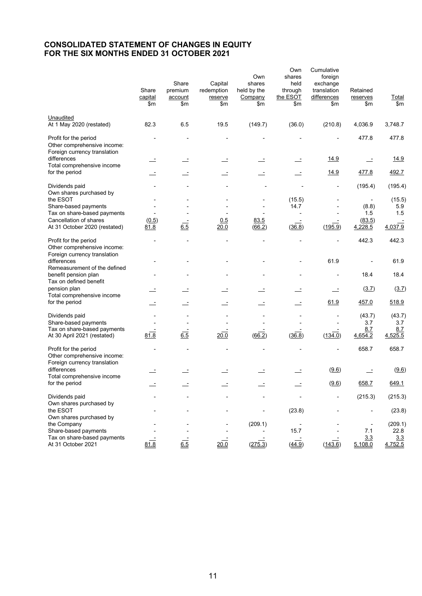# **CONSOLIDATED STATEMENT OF CHANGES IN EQUITY FOR THE SIX MONTHS ENDED 31 OCTOBER 2021**

|                                                                                      | Share<br>capital<br>\$m\$ | Share<br>premium<br>account<br>\$m | Capital<br>redemption<br>reserve<br>\$m\$ | Own<br>shares<br>held by the<br>Company<br>\$m\$ | Own<br>shares<br>held<br>through<br>the ESOT<br>\$m\$ | Cumulative<br>foreign<br>exchange<br>translation<br>differences<br>\$m | Retained<br>reserves<br>\$m\$ | <b>Total</b><br>\$m |
|--------------------------------------------------------------------------------------|---------------------------|------------------------------------|-------------------------------------------|--------------------------------------------------|-------------------------------------------------------|------------------------------------------------------------------------|-------------------------------|---------------------|
| Unaudited<br>At 1 May 2020 (restated)                                                | 82.3                      | 6.5                                | 19.5                                      | (149.7)                                          | (36.0)                                                | (210.8)                                                                | 4,036.9                       | 3,748.7             |
| Profit for the period<br>Other comprehensive income:<br>Foreign currency translation |                           |                                    |                                           |                                                  |                                                       |                                                                        | 477.8                         | 477.8               |
| differences<br>Total comprehensive income                                            | L.                        |                                    |                                           |                                                  |                                                       | <u>14.9</u>                                                            | $\mathbf{r}$                  | 14.9                |
| for the period                                                                       |                           |                                    | $\equiv$                                  | ÷.                                               | $\overline{\phantom{a}}$                              | 14.9                                                                   | 477.8                         | 492.7               |
| Dividends paid<br>Own shares purchased by                                            |                           |                                    |                                           |                                                  |                                                       |                                                                        | (195.4)                       | (195.4)             |
| the ESOT                                                                             |                           |                                    |                                           |                                                  | (15.5)                                                |                                                                        |                               | (15.5)              |
| Share-based payments                                                                 |                           |                                    |                                           |                                                  | 14.7                                                  |                                                                        | (8.8)                         | 5.9                 |
| Tax on share-based payments                                                          |                           |                                    |                                           |                                                  |                                                       |                                                                        | 1.5                           | 1.5                 |
| Cancellation of shares                                                               | (0.5)                     |                                    | 0.5                                       | 83.5                                             |                                                       |                                                                        | (83.5)                        |                     |
| At 31 October 2020 (restated)                                                        | 81.8                      | 6.5                                | 20.0                                      | (66.2)                                           | (36.8)                                                | (195.9)                                                                | 4,228.5                       | 4,037.9             |
| Profit for the period<br>Other comprehensive income:<br>Foreign currency translation |                           |                                    |                                           |                                                  |                                                       |                                                                        | 442.3                         | 442.3               |
| differences<br>Remeasurement of the defined                                          |                           |                                    |                                           |                                                  |                                                       | 61.9                                                                   |                               | 61.9                |
| benefit pension plan<br>Tax on defined benefit                                       |                           |                                    |                                           |                                                  |                                                       |                                                                        | 18.4                          | 18.4                |
| pension plan<br>Total comprehensive income                                           |                           |                                    |                                           |                                                  |                                                       | ÷,                                                                     | (3.7)                         | (3.7)               |
| for the period                                                                       | $\overline{\phantom{0}}$  |                                    |                                           |                                                  |                                                       | 61.9                                                                   | 457.0                         | 518.9               |
| Dividends paid                                                                       |                           |                                    |                                           |                                                  |                                                       |                                                                        | (43.7)                        | (43.7)              |
| Share-based payments                                                                 |                           |                                    |                                           |                                                  |                                                       |                                                                        | 3.7                           | 3.7                 |
| Tax on share-based payments<br>At 30 April 2021 (restated)                           | 81.8                      | 6.5                                | 20.0                                      | (66.2)                                           | (36.8)                                                | (134.0)                                                                | 8.7<br>4,654.2                | 8.7<br>4,525.5      |
| Profit for the period<br>Other comprehensive income:<br>Foreign currency translation |                           |                                    |                                           |                                                  |                                                       |                                                                        | 658.7                         | 658.7               |
| differences<br>Total comprehensive income                                            |                           |                                    |                                           |                                                  |                                                       | (9.6)                                                                  |                               | (9.6)               |
| for the period                                                                       |                           |                                    |                                           |                                                  |                                                       | (9.6)                                                                  | 658.7                         | 649.1               |
| Dividends paid<br>Own shares purchased by                                            |                           |                                    |                                           |                                                  |                                                       |                                                                        | (215.3)                       | (215.3)             |
| the ESOT                                                                             |                           |                                    |                                           |                                                  | (23.8)                                                |                                                                        |                               | (23.8)              |
| Own shares purchased by                                                              |                           |                                    |                                           |                                                  |                                                       |                                                                        |                               |                     |
| the Company                                                                          |                           |                                    |                                           | (209.1)                                          |                                                       |                                                                        |                               | (209.1)             |
| Share-based payments                                                                 |                           |                                    |                                           |                                                  | 15.7                                                  |                                                                        | 7.1                           | 22.8                |
| Tax on share-based payments<br>At 31 October 2021                                    | 81.8                      | 6.5                                | 20.0                                      | (275.3)                                          | (44.9)                                                | (143.6)                                                                | 3.3<br>5,108.0                | 3.3<br>4,752.5      |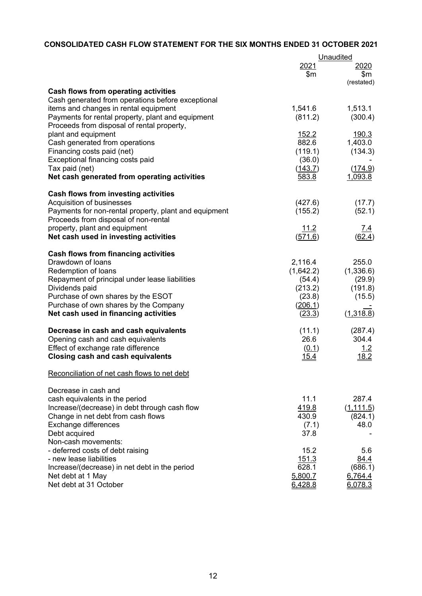# **CONSOLIDATED CASH FLOW STATEMENT FOR THE SIX MONTHS ENDED 31 OCTOBER 2021**

|                                                       | Unaudited    |            |
|-------------------------------------------------------|--------------|------------|
|                                                       | 2021         | 2020       |
|                                                       | \$m          | \$m        |
|                                                       |              | (restated) |
| Cash flows from operating activities                  |              |            |
| Cash generated from operations before exceptional     |              |            |
| items and changes in rental equipment                 | 1,541.6      | 1,513.1    |
| Payments for rental property, plant and equipment     | (811.2)      | (300.4)    |
| Proceeds from disposal of rental property,            |              |            |
| plant and equipment                                   | <u>152.2</u> | 190.3      |
| Cash generated from operations                        | 882.6        | 1,403.0    |
| Financing costs paid (net)                            | (119.1)      | (134.3)    |
| Exceptional financing costs paid                      | (36.0)       |            |
| Tax paid (net)                                        | (143.7)      | (174.9)    |
| Net cash generated from operating activities          | 583.8        | 1,093.8    |
| <b>Cash flows from investing activities</b>           |              |            |
| Acquisition of businesses                             | (427.6)      | (17.7)     |
| Payments for non-rental property, plant and equipment | (155.2)      | (52.1)     |
| Proceeds from disposal of non-rental                  |              |            |
| property, plant and equipment                         | 11.2         | <u>7.4</u> |
| Net cash used in investing activities                 | (571.6)      | (62.4)     |
|                                                       |              |            |
| <b>Cash flows from financing activities</b>           |              |            |
| Drawdown of loans                                     | 2,116.4      | 255.0      |
| Redemption of loans                                   | (1,642.2)    | (1,336.6)  |
| Repayment of principal under lease liabilities        | (54.4)       | (29.9)     |
| Dividends paid                                        | (213.2)      | (191.8)    |
| Purchase of own shares by the ESOT                    | (23.8)       | (15.5)     |
| Purchase of own shares by the Company                 | (206.1)      |            |
| Net cash used in financing activities                 | (23.3)       | (1,318.8)  |
| Decrease in cash and cash equivalents                 | (11.1)       | (287.4)    |
| Opening cash and cash equivalents                     | 26.6         | 304.4      |
| Effect of exchange rate difference                    | (0.1)        | 1.2        |
| <b>Closing cash and cash equivalents</b>              | <u>15.4</u>  | 18.2       |
|                                                       |              |            |
| Reconciliation of net cash flows to net debt          |              |            |
| Decrease in cash and                                  |              |            |
| cash equivalents in the period                        | 11.1         | 287.4      |
| Increase/(decrease) in debt through cash flow         | 419.8        | (1, 111.5) |
| Change in net debt from cash flows                    | 430.9        | (824.1)    |
| Exchange differences                                  | (7.1)        | 48.0       |
| Debt acquired                                         | 37.8         |            |
| Non-cash movements:                                   |              |            |
| - deferred costs of debt raising                      | 15.2         | 5.6        |
| - new lease liabilities                               | <u>151.3</u> | 84.4       |
| Increase/(decrease) in net debt in the period         | 628.1        | (686.1)    |
| Net debt at 1 May                                     | 5,800.7      | 6,764.4    |
| Net debt at 31 October                                | 6,428.8      | 6,078.3    |
|                                                       |              |            |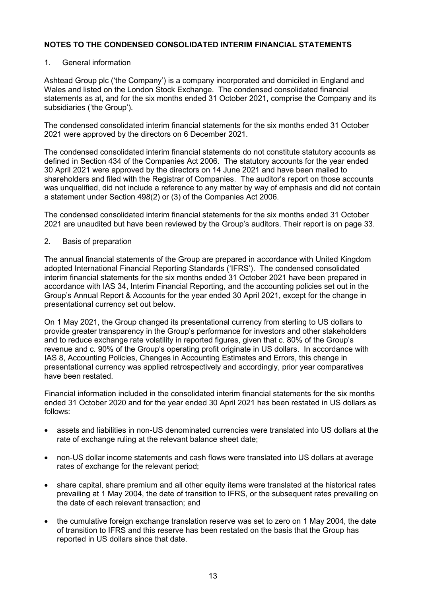### 1. General information

Ashtead Group plc ('the Company') is a company incorporated and domiciled in England and Wales and listed on the London Stock Exchange. The condensed consolidated financial statements as at, and for the six months ended 31 October 2021, comprise the Company and its subsidiaries ('the Group').

The condensed consolidated interim financial statements for the six months ended 31 October 2021 were approved by the directors on 6 December 2021.

The condensed consolidated interim financial statements do not constitute statutory accounts as defined in Section 434 of the Companies Act 2006. The statutory accounts for the year ended 30 April 2021 were approved by the directors on 14 June 2021 and have been mailed to shareholders and filed with the Registrar of Companies. The auditor's report on those accounts was unqualified, did not include a reference to any matter by way of emphasis and did not contain a statement under Section 498(2) or (3) of the Companies Act 2006.

The condensed consolidated interim financial statements for the six months ended 31 October 2021 are unaudited but have been reviewed by the Group's auditors. Their report is on page 33.

### 2. Basis of preparation

The annual financial statements of the Group are prepared in accordance with United Kingdom adopted International Financial Reporting Standards ('IFRS'). The condensed consolidated interim financial statements for the six months ended 31 October 2021 have been prepared in accordance with IAS 34, Interim Financial Reporting, and the accounting policies set out in the Group's Annual Report & Accounts for the year ended 30 April 2021, except for the change in presentational currency set out below.

On 1 May 2021, the Group changed its presentational currency from sterling to US dollars to provide greater transparency in the Group's performance for investors and other stakeholders and to reduce exchange rate volatility in reported figures, given that c. 80% of the Group's revenue and c. 90% of the Group's operating profit originate in US dollars. In accordance with IAS 8, Accounting Policies, Changes in Accounting Estimates and Errors, this change in presentational currency was applied retrospectively and accordingly, prior year comparatives have been restated.

Financial information included in the consolidated interim financial statements for the six months ended 31 October 2020 and for the year ended 30 April 2021 has been restated in US dollars as follows:

- assets and liabilities in non-US denominated currencies were translated into US dollars at the rate of exchange ruling at the relevant balance sheet date;
- non-US dollar income statements and cash flows were translated into US dollars at average rates of exchange for the relevant period;
- share capital, share premium and all other equity items were translated at the historical rates prevailing at 1 May 2004, the date of transition to IFRS, or the subsequent rates prevailing on the date of each relevant transaction; and
- the cumulative foreign exchange translation reserve was set to zero on 1 May 2004, the date of transition to IFRS and this reserve has been restated on the basis that the Group has reported in US dollars since that date.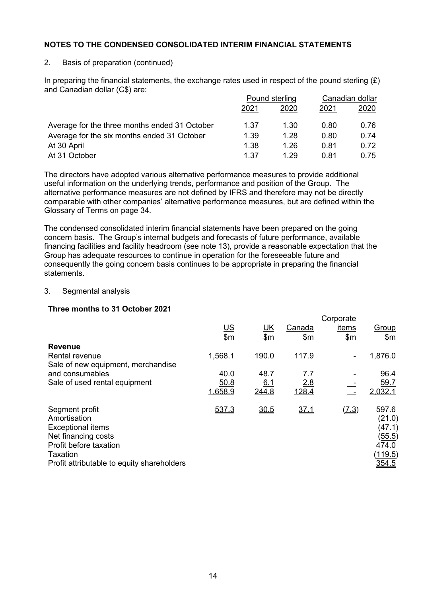2. Basis of preparation (continued)

In preparing the financial statements, the exchange rates used in respect of the pound sterling  $(E)$ and Canadian dollar (C\$) are:

|                                               | Pound sterling |      | Canadian dollar |      |
|-----------------------------------------------|----------------|------|-----------------|------|
|                                               | 2021           | 2020 | 2021            | 2020 |
| Average for the three months ended 31 October | 1.37           | 1.30 | 0.80            | 0.76 |
| Average for the six months ended 31 October   | 1.39           | 1 28 | 0.80            | 0.74 |
| At 30 April                                   | 1.38           | 1 26 | 0 81            | 0.72 |
| At 31 October                                 | 1.37           | 1 29 | 0 81            | 0.75 |

The directors have adopted various alternative performance measures to provide additional useful information on the underlying trends, performance and position of the Group. The alternative performance measures are not defined by IFRS and therefore may not be directly comparable with other companies' alternative performance measures, but are defined within the Glossary of Terms on page 34.

The condensed consolidated interim financial statements have been prepared on the going concern basis. The Group's internal budgets and forecasts of future performance, available financing facilities and facility headroom (see note 13), provide a reasonable expectation that the Group has adequate resources to continue in operation for the foreseeable future and consequently the going concern basis continues to be appropriate in preparing the financial statements.

### 3. Segmental analysis

### **Three months to 31 October 2021**

|                                                                                                                                                                       |           |                |        | Corporate           |                                                                                |
|-----------------------------------------------------------------------------------------------------------------------------------------------------------------------|-----------|----------------|--------|---------------------|--------------------------------------------------------------------------------|
|                                                                                                                                                                       | <u>US</u> | <u>UK</u>      | Canada | items               | <b>Group</b>                                                                   |
|                                                                                                                                                                       | \$m\$     | $\mathsf{S}$ m | \$m    | \$m                 | \$m\$                                                                          |
| <b>Revenue</b>                                                                                                                                                        |           |                |        |                     |                                                                                |
| Rental revenue                                                                                                                                                        | 1,568.1   | 190.0          | 117.9  | ۰                   | 1,876.0                                                                        |
| Sale of new equipment, merchandise                                                                                                                                    |           |                |        |                     |                                                                                |
| and consumables                                                                                                                                                       | 40.0      | 48.7           | 7.7    |                     | 96.4                                                                           |
| Sale of used rental equipment                                                                                                                                         | 50.8      | <u>6.1</u>     | 2.8    |                     | 59.7                                                                           |
|                                                                                                                                                                       | 1,658.9   | <u>244.8</u>   | 128.4  |                     | 2.032.1                                                                        |
| Segment profit<br>Amortisation<br><b>Exceptional items</b><br>Net financing costs<br>Profit before taxation<br>Taxation<br>Profit attributable to equity shareholders | 537.3     | 30.5           | 37.1   | $(\underline{7.3})$ | 597.6<br>(21.0)<br>(47.1)<br><u>(55.5)</u><br>474.0<br><u>(119.5)</u><br>354.5 |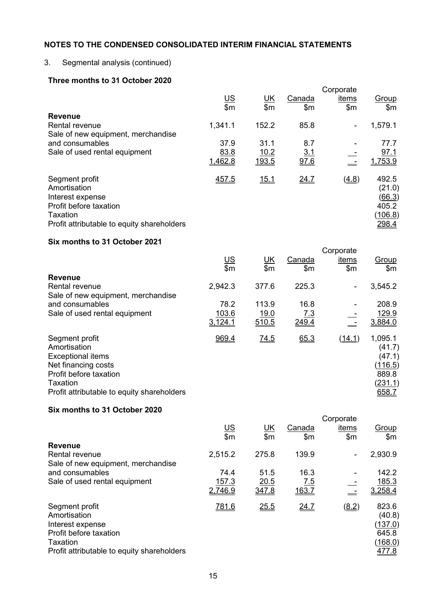# 3. Segmental analysis (continued)

## **Three months to 31 October 2020**

|                                                                                                                                                                       |                          |                                    |                        | Corporate                   |                                                                     |
|-----------------------------------------------------------------------------------------------------------------------------------------------------------------------|--------------------------|------------------------------------|------------------------|-----------------------------|---------------------------------------------------------------------|
|                                                                                                                                                                       | <u>US</u><br>\$m         | UK<br>\$m                          | Canada<br>\$m          | items<br>\$m\$              | Group<br>\$m                                                        |
| <b>Revenue</b><br><b>Rental revenue</b><br>Sale of new equipment, merchandise                                                                                         | 1,341.1                  | 152.2                              | 85.8                   |                             | 1,579.1                                                             |
| and consumables<br>Sale of used rental equipment                                                                                                                      | 37.9<br>83.8<br>1,462.8  | 31.1<br>10.2<br>193.5              | 8.7<br>3.1<br>97.6     |                             | 77.7<br>97.1<br>1,753.9                                             |
| Segment profit<br>Amortisation<br>Interest expense<br>Profit before taxation<br><b>Taxation</b><br>Profit attributable to equity shareholders                         | 457.5                    | <u>15.1</u>                        | 24.7                   | (4.8)                       | 492.5<br>(21.0)<br>(66.3)<br>405.2<br>(106.8)<br>298.4              |
| Six months to 31 October 2021                                                                                                                                         |                          |                                    |                        |                             |                                                                     |
|                                                                                                                                                                       | $rac{\text{US}}{\$m}$    | $\underline{\mathsf{UK}}$<br>\$m\$ | Canada<br>$\mathsf{m}$ | Corporate<br>items<br>\$m\$ | Group<br>\$m\$                                                      |
| <b>Revenue</b><br><b>Rental revenue</b><br>Sale of new equipment, merchandise                                                                                         | 2,942.3                  | 377.6                              | 225.3                  |                             | 3,545.2                                                             |
| and consumables<br>Sale of used rental equipment                                                                                                                      | 78.2<br>103.6<br>3,124.1 | 113.9<br>19.0<br>510.5             | 16.8<br>7.3<br>249.4   |                             | 208.9<br>129.9<br>3,884.0                                           |
| Segment profit<br>Amortisation<br><b>Exceptional items</b><br>Net financing costs<br>Profit before taxation<br>Taxation<br>Profit attributable to equity shareholders | 969.4                    | 74.5                               | 65.3                   | (14.1)                      | 1,095.1<br>(41.7)<br>(47.1)<br>(116.5)<br>889.8<br>(231.1)<br>658.7 |

# **Six months to 31 October 2020**

|                                                                                                                                        |                  |                  |                        | Corporate           |                                                         |
|----------------------------------------------------------------------------------------------------------------------------------------|------------------|------------------|------------------------|---------------------|---------------------------------------------------------|
|                                                                                                                                        | <u>US</u><br>\$m | <u>UK</u><br>\$m | Canada<br>$\mathsf{m}$ | items<br>\$m        | Group<br>$\mathsf{m}$                                   |
| <b>Revenue</b>                                                                                                                         |                  |                  |                        |                     |                                                         |
| Rental revenue                                                                                                                         | 2,515.2          | 275.8            | 139.9                  | $\blacksquare$      | 2,930.9                                                 |
| Sale of new equipment, merchandise                                                                                                     |                  |                  |                        |                     |                                                         |
| and consumables                                                                                                                        | 74.4             | 51.5             | 16.3                   |                     | 142.2                                                   |
| Sale of used rental equipment                                                                                                          | 157.3            | 20.5             | <u>7.5</u>             |                     | 185.3                                                   |
|                                                                                                                                        | 2,746.9          | 347.8            | 163.7                  |                     | 3,258.4                                                 |
| Segment profit<br>Amortisation<br>Interest expense<br>Profit before taxation<br>Taxation<br>Profit attributable to equity shareholders | 781.6            | 25.5             | 24.7                   | $\underline{(8.2)}$ | 823.6<br>(40.8)<br>(137.0)<br>645.8<br>(168.0)<br>477.8 |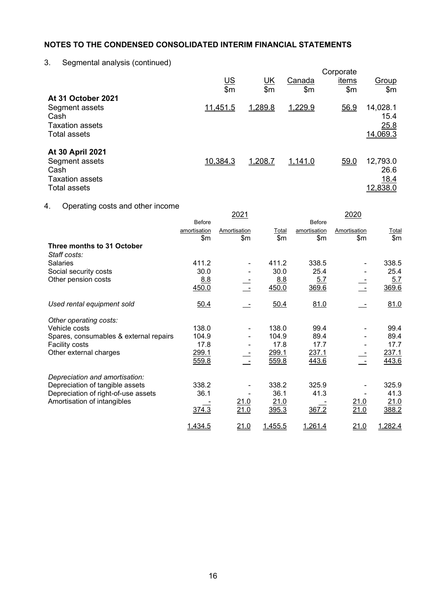# 3. Segmental analysis (continued)

| <b>.</b><br>ocymuniai analysis (continuou)<br>At 31 October 2021                                   | <u>US</u><br>\$m | <u>UK</u><br>\$m | Canada<br>\$m | Corporate<br>items<br>\$m | Group<br>\$m\$                       |
|----------------------------------------------------------------------------------------------------|------------------|------------------|---------------|---------------------------|--------------------------------------|
| Segment assets<br>Cash<br><b>Taxation assets</b><br><b>Total assets</b>                            | 11,451.5         | 1,289.8          | 1,229.9       | 56.9                      | 14,028.1<br>15.4<br>25.8<br>14,069.3 |
| <b>At 30 April 2021</b><br>Segment assets<br>Cash<br><b>Taxation assets</b><br><b>Total assets</b> | 10,384.3         | 1,208.7          | 1,141.0       | 59.0                      | 12,793.0<br>26.6<br>18.4<br>12,838.0 |

# 4. Operating costs and other income

|                                        |              | <u> 2021</u> |         |               | <u> 2020</u> |         |
|----------------------------------------|--------------|--------------|---------|---------------|--------------|---------|
|                                        | Before       |              |         | <b>Before</b> |              |         |
|                                        | amortisation | Amortisation | Total   | amortisation  | Amortisation | Total   |
|                                        | \$m\$        | \$m\$        | \$m     | $\mathsf{m}$  | \$m          | \$m\$   |
| Three months to 31 October             |              |              |         |               |              |         |
| Staff costs:                           |              |              |         |               |              |         |
| <b>Salaries</b>                        | 411.2        |              | 411.2   | 338.5         |              | 338.5   |
| Social security costs                  | 30.0         |              | 30.0    | 25.4          |              | 25.4    |
| Other pension costs                    | 8.8          |              | 8.8     | 5.7           |              | 5.7     |
|                                        | 450.0        |              | 450.0   | 369.6         |              | 369.6   |
| Used rental equipment sold             | 50.4         |              | 50.4    | 81.0          |              | 81.0    |
| Other operating costs:                 |              |              |         |               |              |         |
| Vehicle costs                          | 138.0        |              | 138.0   | 99.4          |              | 99.4    |
| Spares, consumables & external repairs | 104.9        |              | 104.9   | 89.4          |              | 89.4    |
| Facility costs                         | 17.8         |              | 17.8    | 17.7          |              | 17.7    |
| Other external charges                 | 299.1        |              | 299.1   | 237.1         |              | 237.1   |
|                                        | 559.8        |              | 559.8   | 443.6         |              | 443.6   |
| Depreciation and amortisation:         |              |              |         |               |              |         |
| Depreciation of tangible assets        | 338.2        |              | 338.2   | 325.9         |              | 325.9   |
| Depreciation of right-of-use assets    | 36.1         |              | 36.1    | 41.3          |              | 41.3    |
| Amortisation of intangibles            |              | 21.0         | 21.0    |               | 21.0         | 21.0    |
|                                        | 374.3        | 21.0         | 395.3   | 367.2         | 21.0         | 388.2   |
|                                        | 1,434.5      | 21.0         | 1,455.5 | 1,261.4       | 21.0         | 1,282.4 |
|                                        |              |              |         |               |              |         |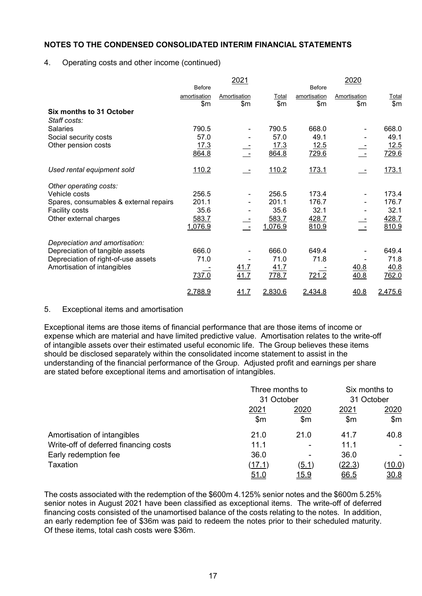4. Operating costs and other income (continued)

|                                        |               | 2021                     |              |              | 2020         |              |
|----------------------------------------|---------------|--------------------------|--------------|--------------|--------------|--------------|
|                                        | <b>Before</b> |                          |              | Before       |              |              |
|                                        | amortisation  | Amortisation             | <b>Total</b> | amortisation | Amortisation | <b>Total</b> |
|                                        | \$m           | \$m\$                    | \$m          | \$m          | \$m          | \$m          |
| Six months to 31 October               |               |                          |              |              |              |              |
| Staff costs:                           |               |                          |              |              |              |              |
| Salaries                               | 790.5         | $\blacksquare$           | 790.5        | 668.0        |              | 668.0        |
| Social security costs                  | 57.0          |                          | 57.0         | 49.1         |              | 49.1         |
| Other pension costs                    | 17.3          |                          | 17.3         | 12.5         |              | <u>12.5</u>  |
|                                        | 864.8         |                          | 864.8        | 729.6        |              | 729.6        |
| Used rental equipment sold             | 110.2         |                          | 110.2        | 173.1        |              | 173.1        |
| Other operating costs:                 |               |                          |              |              |              |              |
| Vehicle costs                          | 256.5         | $\overline{\phantom{a}}$ | 256.5        | 173.4        |              | 173.4        |
| Spares, consumables & external repairs | 201.1         | ۰                        | 201.1        | 176.7        |              | 176.7        |
| Facility costs                         | 35.6          |                          | 35.6         | 32.1         |              | 32.1         |
| Other external charges                 | 583.7         |                          | 583.7        | 428.7        |              | 428.7        |
|                                        | 1,076.9       |                          | 1,076.9      | 810.9        |              | 810.9        |
| Depreciation and amortisation:         |               |                          |              |              |              |              |
| Depreciation of tangible assets        | 666.0         |                          | 666.0        | 649.4        |              | 649.4        |
| Depreciation of right-of-use assets    | 71.0          |                          | 71.0         | 71.8         |              | 71.8         |
| Amortisation of intangibles            |               | 41.7                     | 41.7         |              | 40.8         | 40.8         |
|                                        | 737.0         | 41.7                     | 778.7        | 721.2        | 40.8         | 762.0        |
|                                        | 2,788.9       | <u>41.7</u>              | 2,830.6      | 2,434.8      | 40.8         | 2,475.6      |

### 5. Exceptional items and amortisation

Exceptional items are those items of financial performance that are those items of income or expense which are material and have limited predictive value. Amortisation relates to the write-off of intangible assets over their estimated useful economic life. The Group believes these items should be disclosed separately within the consolidated income statement to assist in the understanding of the financial performance of the Group. Adjusted profit and earnings per share are stated before exceptional items and amortisation of intangibles.

|                                       | Three months to<br>31 October |              | Six months to<br>31 October |               |
|---------------------------------------|-------------------------------|--------------|-----------------------------|---------------|
|                                       |                               |              |                             |               |
|                                       | 2021                          | 2020         | 2021                        | 2020          |
|                                       | \$m                           | \$m          | $\mathsf{m}$                | \$m\$         |
| Amortisation of intangibles           | 21.0                          | 21.0         | 41.7                        | 40.8          |
| Write-off of deferred financing costs | 11.1                          | ۰            | 11.1                        |               |
| Early redemption fee                  | 36.0                          |              | 36.0                        |               |
| Taxation                              | (17.1)                        | <u>(5.1)</u> | (22.3)                      | <u>(10.0)</u> |
|                                       | <u>51.0</u>                   | <u> 15.9</u> | <u>66.5</u>                 | 30.8          |

The costs associated with the redemption of the \$600m 4.125% senior notes and the \$600m 5.25% senior notes in August 2021 have been classified as exceptional items. The write-off of deferred financing costs consisted of the unamortised balance of the costs relating to the notes. In addition, an early redemption fee of \$36m was paid to redeem the notes prior to their scheduled maturity. Of these items, total cash costs were \$36m.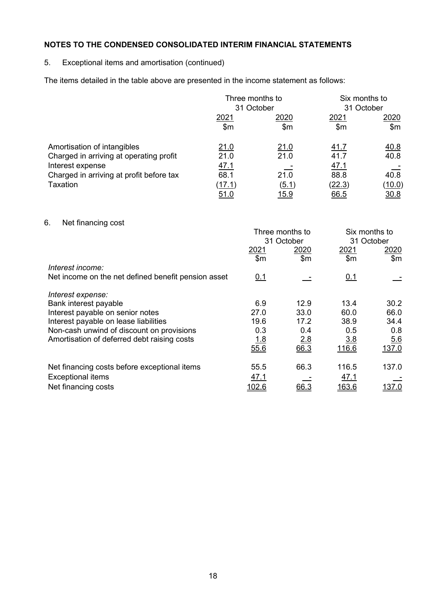# 5. Exceptional items and amortisation (continued)

The items detailed in the table above are presented in the income statement as follows:

|                                          | Three months to            |              | Six months to<br>31 October |               |
|------------------------------------------|----------------------------|--------------|-----------------------------|---------------|
|                                          | 31 October<br>2021<br>2020 |              | 2021                        | 2020          |
|                                          | \$m                        | $\mathsf{m}$ | $\mathsf{m}$                | \$m\$         |
| Amortisation of intangibles              | 21.0                       | 21.0         | 41.7                        | 40.8          |
| Charged in arriving at operating profit  | 21.0                       | 21.0         | 41.7                        | 40.8          |
| Interest expense                         | <u>47.1</u>                |              | 47.1                        |               |
| Charged in arriving at profit before tax | 68.1                       | 21.0         | 88.8                        | 40.8          |
| Taxation                                 | <u>(17.1)</u>              | <u>(5.1)</u> | <u>(22.3)</u>               | <u>(10.0)</u> |
|                                          | <u>51.0</u>                | <u> 15.9</u> | 66.5                        | <u>30.8</u>   |

# 6. Net financing cost

|                                                     |               | Three months to | Six months to<br>31 October |       |
|-----------------------------------------------------|---------------|-----------------|-----------------------------|-------|
|                                                     |               | 31 October      |                             |       |
|                                                     | 2021          | 2020            | 2021                        | 2020  |
|                                                     | \$m\$         | $\mathsf{m}$    | $\mathsf{m}$                | \$m\$ |
| Interest income:                                    |               |                 |                             |       |
| Net income on the net defined benefit pension asset | 0.1           |                 | 0.1                         |       |
| Interest expense:                                   |               |                 |                             |       |
| Bank interest payable                               | 6.9           | 12.9            | 13.4                        | 30.2  |
| Interest payable on senior notes                    | 27.0          | 33.0            | 60.0                        | 66.0  |
| Interest payable on lease liabilities               | 19.6          | 17.2            | 38.9                        | 34.4  |
| Non-cash unwind of discount on provisions           | 0.3           | 0.4             | 0.5                         | 0.8   |
| Amortisation of deferred debt raising costs         | 1.8           | 2.8             | 3.8                         | 5.6   |
|                                                     | 55.6          | 66.3            | 116.6                       | 137.0 |
| Net financing costs before exceptional items        | 55.5          | 66.3            | 116.5                       | 137.0 |
| <b>Exceptional items</b>                            | 47.1          |                 | 47.1                        |       |
| Net financing costs                                 | <u> 102.6</u> | 66.3            | 163.6                       | 137.0 |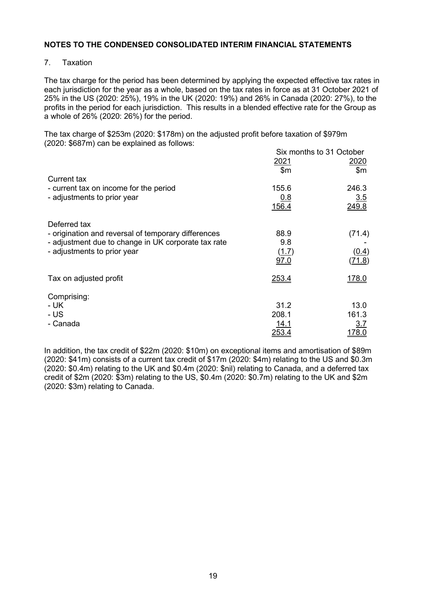### 7. Taxation

The tax charge for the period has been determined by applying the expected effective tax rates in each jurisdiction for the year as a whole, based on the tax rates in force as at 31 October 2021 of 25% in the US (2020: 25%), 19% in the UK (2020: 19%) and 26% in Canada (2020: 27%), to the profits in the period for each jurisdiction. This results in a blended effective rate for the Group as a whole of 26% (2020: 26%) for the period.

The tax charge of \$253m (2020: \$178m) on the adjusted profit before taxation of \$979m (2020: \$687m) can be explained as follows:

|                                                                                                                                                           | Six months to 31 October               |                               |  |
|-----------------------------------------------------------------------------------------------------------------------------------------------------------|----------------------------------------|-------------------------------|--|
|                                                                                                                                                           | 2021<br>$\mathsf{m}$                   | 2020<br>$\mathsf{Sm}$         |  |
| Current tax<br>- current tax on income for the period<br>- adjustments to prior year                                                                      | 155.6<br>0.8<br>156.4                  | 246.3<br>3.5<br>249.8         |  |
| Deferred tax<br>- origination and reversal of temporary differences<br>- adjustment due to change in UK corporate tax rate<br>- adjustments to prior year | 88.9<br>9.8<br>(1.7)<br>97.0           | (71.4)<br>(0.4)<br>(71.8)     |  |
| Tax on adjusted profit                                                                                                                                    | <u> 253.4</u>                          | <u>178.0</u>                  |  |
| Comprising:<br>- UK<br>- US<br>- Canada                                                                                                                   | 31.2<br>208.1<br>14.1<br><u> 253.4</u> | 13.0<br>161.3<br>3.7<br>178.0 |  |

In addition, the tax credit of \$22m (2020: \$10m) on exceptional items and amortisation of \$89m (2020: \$41m) consists of a current tax credit of \$17m (2020: \$4m) relating to the US and \$0.3m (2020: \$0.4m) relating to the UK and \$0.4m (2020: \$nil) relating to Canada, and a deferred tax credit of \$2m (2020: \$3m) relating to the US, \$0.4m (2020: \$0.7m) relating to the UK and \$2m (2020: \$3m) relating to Canada.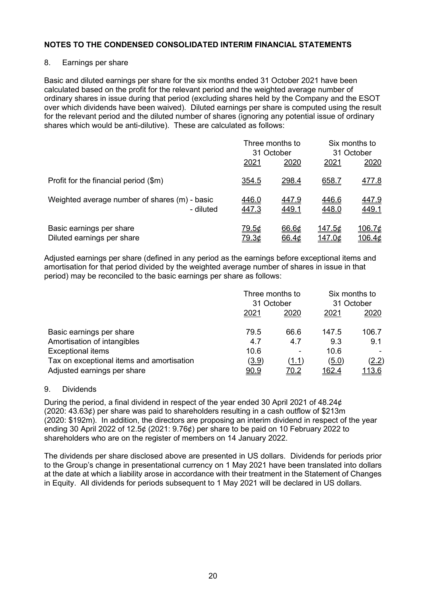### 8. Earnings per share

Basic and diluted earnings per share for the six months ended 31 October 2021 have been calculated based on the profit for the relevant period and the weighted average number of ordinary shares in issue during that period (excluding shares held by the Company and the ESOT over which dividends have been waived). Diluted earnings per share is computed using the result for the relevant period and the diluted number of shares (ignoring any potential issue of ordinary shares which would be anti-dilutive). These are calculated as follows:

|                                                            | Three months to<br>31 October |                | Six months to<br>31 October     |                         |
|------------------------------------------------------------|-------------------------------|----------------|---------------------------------|-------------------------|
|                                                            | 2021                          | 2020           | 2021                            | 2020                    |
| Profit for the financial period (\$m)                      | <u>354.5</u>                  | <u>298.4</u>   | 658.7                           | 477.8                   |
| Weighted average number of shares (m) - basic<br>- diluted | 446.0<br>447.3                | 447.9<br>449.1 | 446.6<br>448.0                  | 447.9<br>449.1          |
| Basic earnings per share<br>Diluted earnings per share     | 79.5¢<br><u>79.3¢</u>         | 66.6¢<br>66.4¢ | <u> 147.5¢</u><br><u>147.0¢</u> | <u>106.7¢</u><br>106.4¢ |

Adjusted earnings per share (defined in any period as the earnings before exceptional items and amortisation for that period divided by the weighted average number of shares in issue in that period) may be reconciled to the basic earnings per share as follows:

|                                           | Three months to<br>31 October |                          | Six months to<br>31 October |               |
|-------------------------------------------|-------------------------------|--------------------------|-----------------------------|---------------|
|                                           |                               |                          |                             |               |
|                                           | 2021                          | 2020                     | 2021                        | 2020          |
| Basic earnings per share                  | 79.5                          | 66.6                     | 147.5                       | 106.7         |
| Amortisation of intangibles               | 4.7                           | 4.7                      | 9.3                         | 9.1           |
| <b>Exceptional items</b>                  | 10.6                          | $\overline{\phantom{a}}$ | 10.6                        |               |
| Tax on exceptional items and amortisation | <u>(3.9)</u>                  | (1.1)                    | <u>(5.0)</u>                | <u>(2.2)</u>  |
| Adjusted earnings per share               | <u>90.9</u>                   | <u>70.2</u>              | <u>162.4</u>                | <u> 113.6</u> |

### 9. Dividends

During the period, a final dividend in respect of the year ended 30 April 2021 of 48.24¢ (2020: 43.63¢) per share was paid to shareholders resulting in a cash outflow of \$213m (2020: \$192m). In addition, the directors are proposing an interim dividend in respect of the year ending 30 April 2022 of 12.5¢ (2021: 9.76¢) per share to be paid on 10 February 2022 to shareholders who are on the register of members on 14 January 2022.

The dividends per share disclosed above are presented in US dollars. Dividends for periods prior to the Group's change in presentational currency on 1 May 2021 have been translated into dollars at the date at which a liability arose in accordance with their treatment in the Statement of Changes in Equity. All dividends for periods subsequent to 1 May 2021 will be declared in US dollars.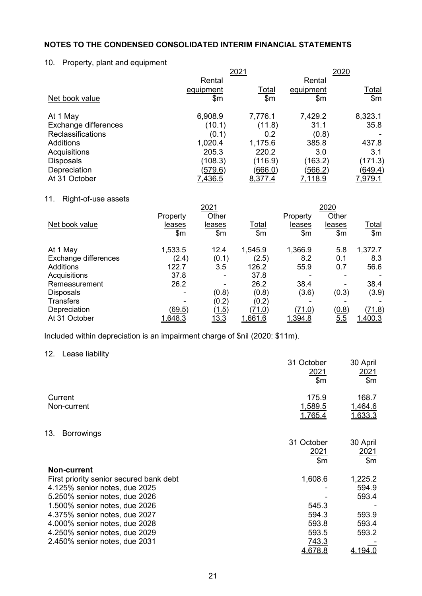# 10. Property, plant and equipment

|                          |           | <u> 2021</u> |                | <u> 2020</u>   |  |  |
|--------------------------|-----------|--------------|----------------|----------------|--|--|
|                          | Rental    |              | Rental         |                |  |  |
|                          | equipment | Total        | equipment      | <u>Total</u>   |  |  |
| Net book value           | \$m       | \$m\$        | \$m            | \$m\$          |  |  |
| At 1 May                 | 6,908.9   | 7,776.1      | 7,429.2        | 8,323.1        |  |  |
| Exchange differences     | (10.1)    | (11.8)       | 31.1           | 35.8           |  |  |
| <b>Reclassifications</b> | (0.1)     | 0.2          | (0.8)          |                |  |  |
| <b>Additions</b>         | 1,020.4   | 1,175.6      | 385.8          | 437.8          |  |  |
| Acquisitions             | 205.3     | 220.2        | 3.0            | 3.1            |  |  |
| <b>Disposals</b>         | (108.3)   | (116.9)      | (163.2)        | (171.3)        |  |  |
| Depreciation             | (579.6)   | (666.0)      | (566.2)        | (649.4)        |  |  |
| At 31 October            | 7,436.5   | 8,377.4      | <u>7.118.9</u> | <u>7.979.1</u> |  |  |

# 11. Right-of-use assets

|                      |          | 2021                         |         |          | 2020   |              |
|----------------------|----------|------------------------------|---------|----------|--------|--------------|
|                      | Property | Other                        |         | Property | Other  |              |
| Net book value       | leases   | leases                       | Total   | leases   | leases | <u>Total</u> |
|                      | \$m      | \$m\$                        | \$m     | \$m      | \$m    | \$m\$        |
| At 1 May             | 1,533.5  | 12.4                         | 1,545.9 | 1,366.9  | 5.8    | 1,372.7      |
| Exchange differences | (2.4)    | (0.1)                        | (2.5)   | 8.2      | 0.1    | 8.3          |
| <b>Additions</b>     | 122.7    | 3.5                          | 126.2   | 55.9     | 0.7    | 56.6         |
| Acquisitions         | 37.8     | $\qquad \qquad \blacksquare$ | 37.8    |          |        |              |
| Remeasurement        | 26.2     |                              | 26.2    | 38.4     |        | 38.4         |
| <b>Disposals</b>     |          | (0.8)                        | (0.8)   | (3.6)    | (0.3)  | (3.9)        |
| <b>Transfers</b>     |          | (0.2)                        | (0.2)   |          |        |              |
| Depreciation         | (69.5)   | (1.5)                        | (71.0)  | (71.0)   | (0.8)  | (71.8)       |
| At 31 October        | 1,648.3  | <u> 13.3</u>                 | 1,661.6 | 1,394.8  | 5.5    | 1,400.3      |
|                      |          |                              |         |          |        |              |

Included within depreciation is an impairment charge of \$nil (2020: \$11m).

# 12. Lease liability

|                                         | 31 October<br>2021<br>\$m | 30 April<br>2021<br>$\mathsf{m}$ |
|-----------------------------------------|---------------------------|----------------------------------|
| Current<br>Non-current                  | 175.9<br>1,589.5          | 168.7<br>1,464.6                 |
|                                         | 1,765.4                   | <u>1,633.3</u>                   |
| 13.<br><b>Borrowings</b>                |                           |                                  |
|                                         | 31 October                | 30 April                         |
|                                         | <u> 2021</u>              | 2021                             |
|                                         | $\mathsf{Sm}$             | \$m\$                            |
| <b>Non-current</b>                      |                           |                                  |
| First priority senior secured bank debt | 1,608.6                   | 1,225.2                          |
| 4.125% senior notes, due 2025           |                           | 594.9                            |
| 5.250% senior notes, due 2026           |                           | 593.4                            |
| 1.500% senior notes, due 2026           | 545.3                     |                                  |
| 4.375% senior notes, due 2027           | 594.3                     | 593.9                            |
| 4.000% senior notes, due 2028           | 593.8                     | 593.4                            |
| 4.250% senior notes, due 2029           | 593.5                     | 593.2                            |
| 2.450% senior notes, due 2031           | 743.3                     |                                  |
|                                         | 4,678.8                   | <u>4,194.0</u>                   |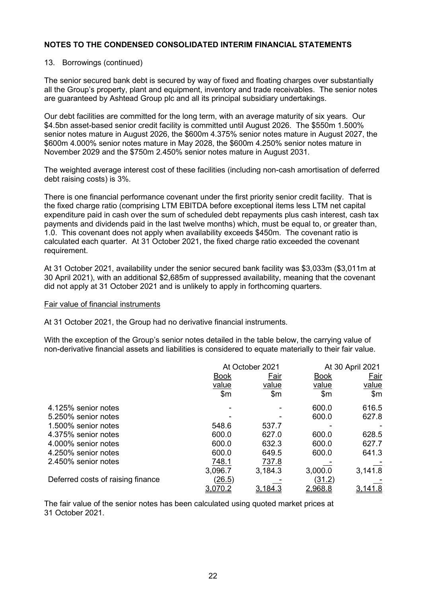### 13. Borrowings (continued)

The senior secured bank debt is secured by way of fixed and floating charges over substantially all the Group's property, plant and equipment, inventory and trade receivables. The senior notes are guaranteed by Ashtead Group plc and all its principal subsidiary undertakings.

Our debt facilities are committed for the long term, with an average maturity of six years. Our \$4.5bn asset-based senior credit facility is committed until August 2026. The \$550m 1.500% senior notes mature in August 2026, the \$600m 4.375% senior notes mature in August 2027, the \$600m 4.000% senior notes mature in May 2028, the \$600m 4.250% senior notes mature in November 2029 and the \$750m 2.450% senior notes mature in August 2031.

The weighted average interest cost of these facilities (including non-cash amortisation of deferred debt raising costs) is 3%.

There is one financial performance covenant under the first priority senior credit facility. That is the fixed charge ratio (comprising LTM EBITDA before exceptional items less LTM net capital expenditure paid in cash over the sum of scheduled debt repayments plus cash interest, cash tax payments and dividends paid in the last twelve months) which, must be equal to, or greater than, 1.0. This covenant does not apply when availability exceeds \$450m. The covenant ratio is calculated each quarter. At 31 October 2021, the fixed charge ratio exceeded the covenant requirement.

At 31 October 2021, availability under the senior secured bank facility was \$3,033m (\$3,011m at 30 April 2021), with an additional \$2,685m of suppressed availability, meaning that the covenant did not apply at 31 October 2021 and is unlikely to apply in forthcoming quarters.

#### Fair value of financial instruments

At 31 October 2021, the Group had no derivative financial instruments.

With the exception of the Group's senior notes detailed in the table below, the carrying value of non-derivative financial assets and liabilities is considered to equate materially to their fair value.

|                                   |               | At October 2021 |               | At 30 April 2021 |  |  |
|-----------------------------------|---------------|-----------------|---------------|------------------|--|--|
|                                   | <b>Book</b>   | Fair            | <b>Book</b>   | Fair             |  |  |
|                                   | value         | value           | value         | value            |  |  |
|                                   | $\mathsf{Sm}$ | \$m\$           | $\mathsf{m}$  | \$m\$            |  |  |
| 4.125% senior notes               |               |                 | 600.0         | 616.5            |  |  |
| 5.250% senior notes               |               |                 | 600.0         | 627.8            |  |  |
| 1.500% senior notes               | 548.6         | 537.7           |               |                  |  |  |
| 4.375% senior notes               | 600.0         | 627.0           | 600.0         | 628.5            |  |  |
| 4.000% senior notes               | 600.0         | 632.3           | 600.0         | 627.7            |  |  |
| 4.250% senior notes               | 600.0         | 649.5           | 600.0         | 641.3            |  |  |
| 2.450% senior notes               | 748.1         | 737.8           |               |                  |  |  |
|                                   | 3,096.7       | 3,184.3         | 3,000.0       | 3,141.8          |  |  |
| Deferred costs of raising finance | <u>(26.5)</u> |                 | <u>(31.2)</u> |                  |  |  |
|                                   | 3,070.2       | <u>3,184.3</u>  | 2,968.8       |                  |  |  |

The fair value of the senior notes has been calculated using quoted market prices at 31 October 2021.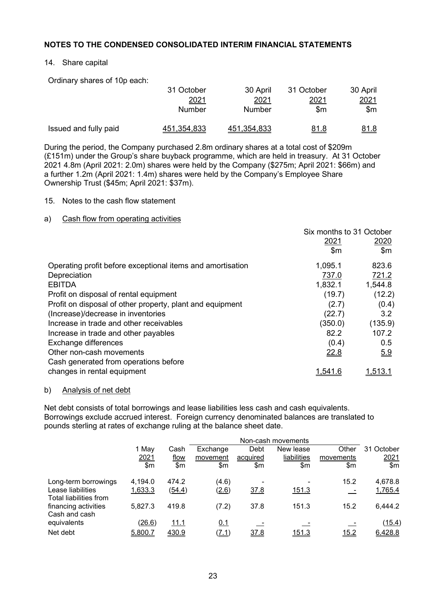### 14. Share capital

Ordinary shares of 10p each:

|                       | 31 October    | 30 April           | 31 October  | 30 April      |
|-----------------------|---------------|--------------------|-------------|---------------|
|                       | 2021          | 2021               | 2021        | 2021          |
|                       | <b>Number</b> | Number             | \$m         | $\mathsf{Sm}$ |
| Issued and fully paid | 451,354,833   | <u>451,354,833</u> | <u>81.8</u> | <u>81.8</u>   |

During the period, the Company purchased 2.8m ordinary shares at a total cost of \$209m (£151m) under the Group's share buyback programme, which are held in treasury. At 31 October 2021 4.8m (April 2021: 2.0m) shares were held by the Company (\$275m; April 2021: \$66m) and a further 1.2m (April 2021: 1.4m) shares were held by the Company's Employee Share Ownership Trust (\$45m; April 2021: \$37m).

### 15. Notes to the cash flow statement

### a) Cash flow from operating activities

|                                                            | Six months to 31 October |         |
|------------------------------------------------------------|--------------------------|---------|
|                                                            | 2021                     | 2020    |
|                                                            | \$m\$                    | \$m\$   |
| Operating profit before exceptional items and amortisation | 1,095.1                  | 823.6   |
| Depreciation                                               | 737.0                    | 721.2   |
| <b>EBITDA</b>                                              | 1,832.1                  | 1,544.8 |
| Profit on disposal of rental equipment                     | (19.7)                   | (12.2)  |
| Profit on disposal of other property, plant and equipment  | (2.7)                    | (0.4)   |
| (Increase)/decrease in inventories                         | (22.7)                   | 3.2     |
| Increase in trade and other receivables                    | (350.0)                  | (135.9) |
| Increase in trade and other payables                       | 82.2                     | 107.2   |
| Exchange differences                                       | (0.4)                    | 0.5     |
| Other non-cash movements                                   | 22.8                     | 5.9     |
| Cash generated from operations before                      |                          |         |
| changes in rental equipment                                |                          | 1.513.1 |

#### b) Analysis of net debt

Net debt consists of total borrowings and lease liabilities less cash and cash equivalents. Borrowings exclude accrued interest. Foreign currency denominated balances are translated to pounds sterling at rates of exchange ruling at the balance sheet date.

|                                             | 1 May       | Cash   | Exchange | Debt     | New lease   | Other       | 31 October |
|---------------------------------------------|-------------|--------|----------|----------|-------------|-------------|------------|
|                                             | <u>2021</u> | flow   | movement | acquired | liabilities | movements   | 2021       |
|                                             | \$m\$       | \$m\$  | \$m      | \$m      | \$m\$       | \$m         | \$m\$      |
| Long-term borrowings                        | 4,194.0     | 474.2  | (4.6)    |          |             | 15.2        | 4,678.8    |
| Lease liabilities<br>Total liabilities from | 1,633.3     | (54.4) | (2.6)    | 37.8     | 151.3       |             | 1,765.4    |
| financing activities<br>Cash and cash       | 5,827.3     | 419.8  | (7.2)    | 37.8     | 151.3       | 15.2        | 6,444.2    |
| equivalents                                 | (26.6)      | 11.1   | 0.1      |          |             |             | (15.4)     |
| Net debt                                    | 5,800.7     | 430.9  | (7.1)    | 37.8     | 151.3       | <u>15.2</u> | 6,428.8    |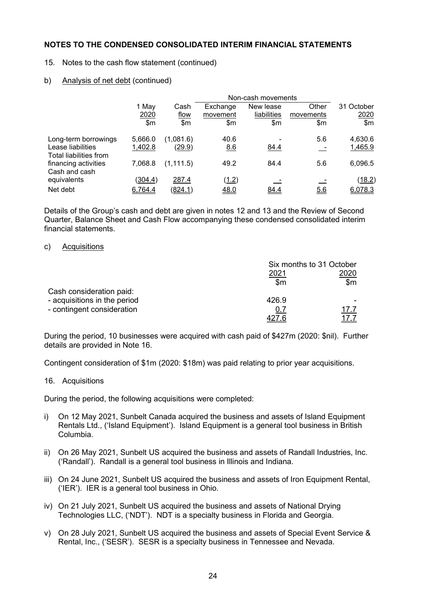#### 15. Notes to the cash flow statement (continued)

### b) Analysis of net debt (continued)

|                                                                 |                           | Non-cash movements |               |             |           |                   |  |  |
|-----------------------------------------------------------------|---------------------------|--------------------|---------------|-------------|-----------|-------------------|--|--|
|                                                                 | 1 May                     | Cash               | Exchange      | New lease   | Other     | 31 October        |  |  |
|                                                                 | 2020                      | flow               | movement      | liabilities | movements | 2020              |  |  |
|                                                                 | \$m                       | \$m                | \$m           | \$m         | \$m       | \$m\$             |  |  |
| Long-term borrowings                                            | 5,666.0                   | (1,081.6)          | 40.6          |             | 5.6       | 4,630.6           |  |  |
| Lease liabilities                                               | 1,402.8                   | (29.9)             | 8.6           | 84.4        |           | 1,465.9           |  |  |
| Total liabilities from<br>financing activities<br>Cash and cash | 7,068.8                   | (1, 111.5)         | 49.2          | 84.4        | 5.6       | 6,096.5           |  |  |
| equivalents<br>Net debt                                         | <u>(304.4)</u><br>6,764.4 | 287.4<br>(824.1)   | (1.2)<br>48.0 | 84.4        | 5.6       | (18.2)<br>6,078.3 |  |  |
|                                                                 |                           |                    |               |             |           |                   |  |  |

Details of the Group's cash and debt are given in notes 12 and 13 and the Review of Second Quarter, Balance Sheet and Cash Flow accompanying these condensed consolidated interim financial statements.

#### c) Acquisitions

|                              | Six months to 31 October |               |
|------------------------------|--------------------------|---------------|
|                              | 2021                     | 2020          |
|                              | \$m                      | $\mathsf{Sm}$ |
| Cash consideration paid:     |                          |               |
| - acquisitions in the period | 426.9                    |               |
| - contingent consideration   | 0.1                      | 17.7          |
|                              |                          |               |

During the period, 10 businesses were acquired with cash paid of \$427m (2020: \$nil). Further details are provided in Note 16.

Contingent consideration of \$1m (2020: \$18m) was paid relating to prior year acquisitions.

#### 16. Acquisitions

During the period, the following acquisitions were completed:

- i) On 12 May 2021, Sunbelt Canada acquired the business and assets of Island Equipment Rentals Ltd., ('Island Equipment'). Island Equipment is a general tool business in British Columbia.
- ii) On 26 May 2021, Sunbelt US acquired the business and assets of Randall Industries, Inc. ('Randall'). Randall is a general tool business in Illinois and Indiana.
- iii) On 24 June 2021, Sunbelt US acquired the business and assets of Iron Equipment Rental, ('IER'). IER is a general tool business in Ohio.
- iv) On 21 July 2021, Sunbelt US acquired the business and assets of National Drying Technologies LLC, ('NDT'). NDT is a specialty business in Florida and Georgia.
- v) On 28 July 2021, Sunbelt US acquired the business and assets of Special Event Service & Rental, Inc., ('SESR'). SESR is a specialty business in Tennessee and Nevada.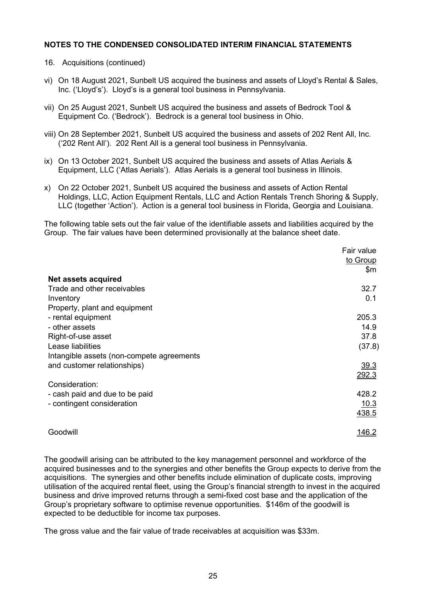- 16. Acquisitions (continued)
- vi) On 18 August 2021, Sunbelt US acquired the business and assets of Lloyd's Rental & Sales, Inc. ('Lloyd's'). Lloyd's is a general tool business in Pennsylvania.
- vii) On 25 August 2021, Sunbelt US acquired the business and assets of Bedrock Tool & Equipment Co. ('Bedrock'). Bedrock is a general tool business in Ohio.
- viii) On 28 September 2021, Sunbelt US acquired the business and assets of 202 Rent All, Inc. ('202 Rent All'). 202 Rent All is a general tool business in Pennsylvania.
- ix) On 13 October 2021, Sunbelt US acquired the business and assets of Atlas Aerials & Equipment, LLC ('Atlas Aerials'). Atlas Aerials is a general tool business in Illinois.
- x) On 22 October 2021, Sunbelt US acquired the business and assets of Action Rental Holdings, LLC, Action Equipment Rentals, LLC and Action Rentals Trench Shoring & Supply, LLC (together 'Action'). Action is a general tool business in Florida, Georgia and Louisiana.

The following table sets out the fair value of the identifiable assets and liabilities acquired by the Group. The fair values have been determined provisionally at the balance sheet date.

|                                           | Fair value    |
|-------------------------------------------|---------------|
|                                           | to Group      |
|                                           | \$m\$         |
| Net assets acquired                       |               |
| Trade and other receivables               | 32.7          |
| Inventory                                 | 0.1           |
| Property, plant and equipment             |               |
| - rental equipment                        | 205.3         |
| - other assets                            | 14.9          |
| Right-of-use asset                        | 37.8          |
| Lease liabilities                         | (37.8)        |
| Intangible assets (non-compete agreements |               |
| and customer relationships)               | 39.3          |
|                                           | 292.3         |
| Consideration:                            |               |
| - cash paid and due to be paid            | 428.2         |
| - contingent consideration                | 10.3          |
|                                           | 438.5         |
| Goodwill                                  | <u> 146.2</u> |

The goodwill arising can be attributed to the key management personnel and workforce of the acquired businesses and to the synergies and other benefits the Group expects to derive from the acquisitions. The synergies and other benefits include elimination of duplicate costs, improving utilisation of the acquired rental fleet, using the Group's financial strength to invest in the acquired business and drive improved returns through a semi-fixed cost base and the application of the Group's proprietary software to optimise revenue opportunities. \$146m of the goodwill is expected to be deductible for income tax purposes.

The gross value and the fair value of trade receivables at acquisition was \$33m.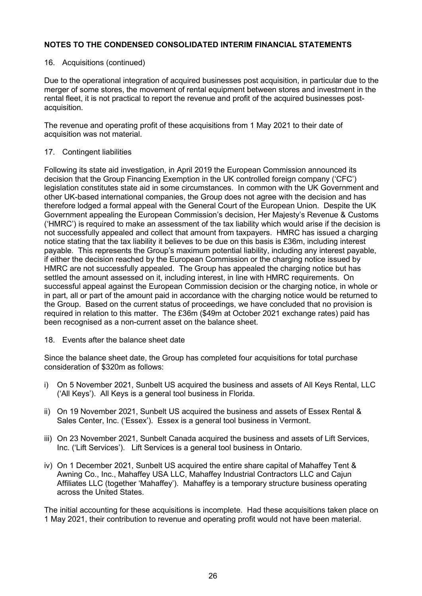### 16. Acquisitions (continued)

Due to the operational integration of acquired businesses post acquisition, in particular due to the merger of some stores, the movement of rental equipment between stores and investment in the rental fleet, it is not practical to report the revenue and profit of the acquired businesses postacquisition.

The revenue and operating profit of these acquisitions from 1 May 2021 to their date of acquisition was not material.

### 17. Contingent liabilities

Following its state aid investigation, in April 2019 the European Commission announced its decision that the Group Financing Exemption in the UK controlled foreign company ('CFC') legislation constitutes state aid in some circumstances. In common with the UK Government and other UK-based international companies, the Group does not agree with the decision and has therefore lodged a formal appeal with the General Court of the European Union. Despite the UK Government appealing the European Commission's decision, Her Majesty's Revenue & Customs ('HMRC') is required to make an assessment of the tax liability which would arise if the decision is not successfully appealed and collect that amount from taxpayers. HMRC has issued a charging notice stating that the tax liability it believes to be due on this basis is £36m, including interest payable. This represents the Group's maximum potential liability, including any interest payable, if either the decision reached by the European Commission or the charging notice issued by HMRC are not successfully appealed. The Group has appealed the charging notice but has settled the amount assessed on it, including interest, in line with HMRC requirements. On successful appeal against the European Commission decision or the charging notice, in whole or in part, all or part of the amount paid in accordance with the charging notice would be returned to the Group. Based on the current status of proceedings, we have concluded that no provision is required in relation to this matter. The £36m (\$49m at October 2021 exchange rates) paid has been recognised as a non-current asset on the balance sheet.

### 18. Events after the balance sheet date

Since the balance sheet date, the Group has completed four acquisitions for total purchase consideration of \$320m as follows:

- i) On 5 November 2021, Sunbelt US acquired the business and assets of All Keys Rental, LLC ('All Keys'). All Keys is a general tool business in Florida.
- ii) On 19 November 2021, Sunbelt US acquired the business and assets of Essex Rental & Sales Center, Inc. ('Essex'). Essex is a general tool business in Vermont.
- iii) On 23 November 2021, Sunbelt Canada acquired the business and assets of Lift Services, Inc. ('Lift Services'). Lift Services is a general tool business in Ontario.
- iv) On 1 December 2021, Sunbelt US acquired the entire share capital of Mahaffey Tent & Awning Co., Inc., Mahaffey USA LLC, Mahaffey Industrial Contractors LLC and Cajun Affiliates LLC (together 'Mahaffey'). Mahaffey is a temporary structure business operating across the United States.

The initial accounting for these acquisitions is incomplete. Had these acquisitions taken place on 1 May 2021, their contribution to revenue and operating profit would not have been material.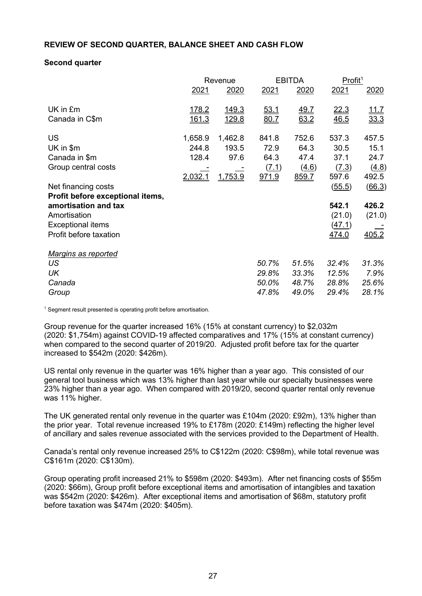### **REVIEW OF SECOND QUARTER, BALANCE SHEET AND CASH FLOW**

### **Second quarter**

|                                  |              | Revenue       |       | Profit <sup>1</sup><br><b>EBITDA</b> |                     |                      |
|----------------------------------|--------------|---------------|-------|--------------------------------------|---------------------|----------------------|
|                                  | <u>2021</u>  | 2020          | 2021  | 2020                                 | 2021                | 2020                 |
| UK in £m                         | <u>178.2</u> | <u> 149.3</u> | 53.1  | <u>49.7</u>                          | <u>22.3</u><br>46.5 | <u> 11.7</u><br>33.3 |
| Canada in C\$m                   | <u>161.3</u> | <u>129.8</u>  | 80.7  | 63.2                                 |                     |                      |
| <b>US</b>                        | 1,658.9      | 1,462.8       | 841.8 | 752.6                                | 537.3               | 457.5                |
| UK in \$m                        | 244.8        | 193.5         | 72.9  | 64.3                                 | 30.5                | 15.1                 |
| Canada in \$m                    | 128.4        | 97.6          | 64.3  | 47.4                                 | 37.1                | 24.7                 |
| Group central costs              |              |               | (7.1) | (4.6)                                | (7.3)               | (4.8)                |
|                                  | 2,032.1      | 1,753.9       | 971.9 | 859.7                                | 597.6               | 492.5                |
| Net financing costs              |              |               |       |                                      | (55.5)              | (66.3)               |
| Profit before exceptional items, |              |               |       |                                      |                     |                      |
| amortisation and tax             |              |               |       |                                      | 542.1               | 426.2                |
| Amortisation                     |              |               |       |                                      | (21.0)              | (21.0)               |
| <b>Exceptional items</b>         |              |               |       |                                      | (47.1)              |                      |
| Profit before taxation           |              |               |       |                                      | <u>474.0</u>        | 405.2                |
| <b>Margins as reported</b>       |              |               |       |                                      |                     |                      |
| US                               |              |               | 50.7% | 51.5%                                | 32.4%               | 31.3%                |
| UK                               |              |               | 29.8% | 33.3%                                | 12.5%               | 7.9%                 |
| Canada                           |              |               | 50.0% | 48.7%                                | 28.8%               | 25.6%                |
| Group                            |              |               | 47.8% | 49.0%                                | 29.4%               | 28.1%                |

<sup>1</sup> Segment result presented is operating profit before amortisation.

Group revenue for the quarter increased 16% (15% at constant currency) to \$2,032m (2020: \$1,754m) against COVID-19 affected comparatives and 17% (15% at constant currency) when compared to the second quarter of 2019/20. Adjusted profit before tax for the quarter increased to \$542m (2020: \$426m).

US rental only revenue in the quarter was 16% higher than a year ago. This consisted of our general tool business which was 13% higher than last year while our specialty businesses were 23% higher than a year ago. When compared with 2019/20, second quarter rental only revenue was 11% higher.

The UK generated rental only revenue in the quarter was £104m (2020: £92m), 13% higher than the prior year. Total revenue increased 19% to £178m (2020: £149m) reflecting the higher level of ancillary and sales revenue associated with the services provided to the Department of Health.

Canada's rental only revenue increased 25% to C\$122m (2020: C\$98m), while total revenue was C\$161m (2020: C\$130m).

Group operating profit increased 21% to \$598m (2020: \$493m). After net financing costs of \$55m (2020: \$66m), Group profit before exceptional items and amortisation of intangibles and taxation was \$542m (2020: \$426m). After exceptional items and amortisation of \$68m, statutory profit before taxation was \$474m (2020: \$405m).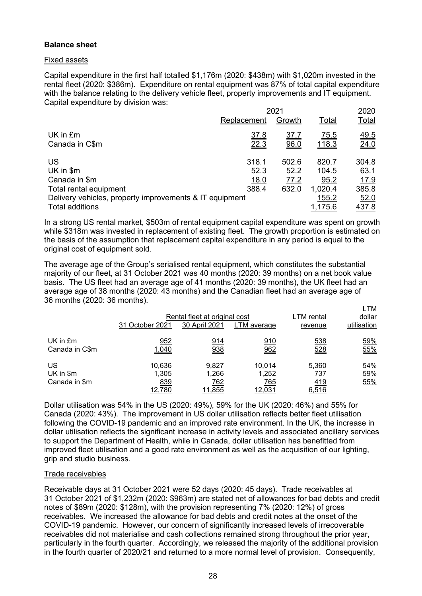# **Balance sheet**

### Fixed assets

Capital expenditure in the first half totalled \$1,176m (2020: \$438m) with \$1,020m invested in the rental fleet (2020: \$386m). Expenditure on rental equipment was 87% of total capital expenditure with the balance relating to the delivery vehicle fleet, property improvements and IT equipment. Capital expenditure by division was:

|                                                         | 2021                |             |             |                     |  |
|---------------------------------------------------------|---------------------|-------------|-------------|---------------------|--|
|                                                         | Replacement         | Growth      | Total       | <u>Total</u>        |  |
| UK in £m                                                | $\frac{37.8}{22.3}$ | <u>37.7</u> | <u>75.5</u> | $\frac{49.5}{24.0}$ |  |
| Canada in C\$m                                          |                     | 96.0        | 118.3       |                     |  |
| US                                                      | 318.1               | 502.6       | 820.7       | 304.8               |  |
| UK in \$m                                               | 52.3                | 52.2        | 104.5       | 63.1                |  |
| Canada in \$m                                           | <u>18.0</u>         | 77.2        | 95.2        | 17.9                |  |
| Total rental equipment                                  | 388.4               | 632.0       | 1,020.4     | 385.8               |  |
| Delivery vehicles, property improvements & IT equipment |                     |             |             | 52.0                |  |
| <b>Total additions</b>                                  |                     |             | 1.175.6     | 437.8               |  |

In a strong US rental market, \$503m of rental equipment capital expenditure was spent on growth while \$318m was invested in replacement of existing fleet. The growth proportion is estimated on the basis of the assumption that replacement capital expenditure in any period is equal to the original cost of equipment sold.

The average age of the Group's serialised rental equipment, which constitutes the substantial majority of our fleet, at 31 October 2021 was 40 months (2020: 39 months) on a net book value basis. The US fleet had an average age of 41 months (2020: 39 months), the UK fleet had an average age of 38 months (2020: 43 months) and the Canadian fleet had an average age of 36 months (2020: 36 months).

|                                  | 31 October 2021                  | Rental fleet at original cost<br>30 April 2021 | LTM average                      | LTM rental<br>revenue        | LTM<br>dollar<br>utilisation |
|----------------------------------|----------------------------------|------------------------------------------------|----------------------------------|------------------------------|------------------------------|
| $UK$ in $Em$<br>Canada in C\$m   | 952<br>1,040                     | 914<br>938                                     | 910<br>962                       | <u>538</u><br>528            | <u>59%</u><br>55%            |
| US<br>UK in \$m<br>Canada in \$m | 10,636<br>1,305<br>839<br>12,780 | 9,827<br>1,266<br>762<br>11,855                | 10.014<br>1,252<br>765<br>12,031 | 5,360<br>737<br>419<br>6,516 | 54%<br>59%<br><u>55%</u>     |

Dollar utilisation was 54% in the US (2020: 49%), 59% for the UK (2020: 46%) and 55% for Canada (2020: 43%). The improvement in US dollar utilisation reflects better fleet utilisation following the COVID-19 pandemic and an improved rate environment. In the UK, the increase in dollar utilisation reflects the significant increase in activity levels and associated ancillary services to support the Department of Health, while in Canada, dollar utilisation has benefitted from improved fleet utilisation and a good rate environment as well as the acquisition of our lighting, grip and studio business.

### Trade receivables

Receivable days at 31 October 2021 were 52 days (2020: 45 days). Trade receivables at 31 October 2021 of \$1,232m (2020: \$963m) are stated net of allowances for bad debts and credit notes of \$89m (2020: \$128m), with the provision representing 7% (2020: 12%) of gross receivables. We increased the allowance for bad debts and credit notes at the onset of the COVID-19 pandemic. However, our concern of significantly increased levels of irrecoverable receivables did not materialise and cash collections remained strong throughout the prior year, particularly in the fourth quarter. Accordingly, we released the majority of the additional provision in the fourth quarter of 2020/21 and returned to a more normal level of provision. Consequently,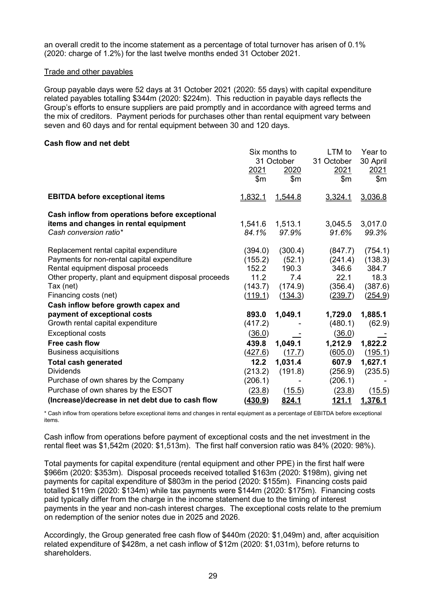an overall credit to the income statement as a percentage of total turnover has arisen of 0.1% (2020: charge of 1.2%) for the last twelve months ended 31 October 2021.

#### Trade and other payables

Group payable days were 52 days at 31 October 2021 (2020: 55 days) with capital expenditure related payables totalling \$344m (2020: \$224m). This reduction in payable days reflects the Group's efforts to ensure suppliers are paid promptly and in accordance with agreed terms and the mix of creditors. Payment periods for purchases other than rental equipment vary between seven and 60 days and for rental equipment between 30 and 120 days.

### **Cash flow and net debt**

|                                                                                                                                                                                                                            | 2021<br>\$m\$                                                    | Six months to<br>31 October<br>2020<br>\$m              | LTM to<br>31 October<br>2021<br>\$m\$                            | Year to<br>30 April<br><u>2021</u><br>\$m                 |
|----------------------------------------------------------------------------------------------------------------------------------------------------------------------------------------------------------------------------|------------------------------------------------------------------|---------------------------------------------------------|------------------------------------------------------------------|-----------------------------------------------------------|
| <b>EBITDA before exceptional items</b>                                                                                                                                                                                     | 1,832.1                                                          | 1,544.8                                                 | 3,324.1                                                          | 3,036.8                                                   |
| Cash inflow from operations before exceptional<br>items and changes in rental equipment<br>Cash conversion ratio*                                                                                                          | 1,541.6<br>84.1%                                                 | 1,513.1<br>97.9%                                        | 3,045.5<br>91.6%                                                 | 3,017.0<br>99.3%                                          |
| Replacement rental capital expenditure<br>Payments for non-rental capital expenditure<br>Rental equipment disposal proceeds<br>Other property, plant and equipment disposal proceeds<br>Tax (net)<br>Financing costs (net) | (394.0)<br>(155.2)<br>152.2<br>11.2<br>(143.7)<br><u>(119.1)</u> | (300.4)<br>(52.1)<br>190.3<br>7.4<br>(174.9)<br>(134.3) | (847.7)<br>(241.4)<br>346.6<br>22.1<br>(356.4)<br><u>(239.7)</u> | (754.1)<br>(138.3)<br>384.7<br>18.3<br>(387.6)<br>(254.9) |
| Cash inflow before growth capex and<br>payment of exceptional costs                                                                                                                                                        | 893.0                                                            | 1,049.1                                                 | 1,729.0                                                          | 1,885.1                                                   |
| Growth rental capital expenditure                                                                                                                                                                                          | (417.2)                                                          |                                                         | (480.1)                                                          | (62.9)                                                    |
| <b>Exceptional costs</b>                                                                                                                                                                                                   | <u>(36.0)</u>                                                    |                                                         | <u>(36.0)</u>                                                    |                                                           |
| Free cash flow                                                                                                                                                                                                             | 439.8                                                            | 1,049.1                                                 | 1,212.9                                                          | 1,822.2                                                   |
| <b>Business acquisitions</b>                                                                                                                                                                                               | <u>(427.6)</u>                                                   | (17.7)                                                  | <u>(605.0)</u>                                                   | (195.1)                                                   |
| <b>Total cash generated</b>                                                                                                                                                                                                | 12.2                                                             | 1,031.4                                                 | 607.9                                                            | 1,627.1                                                   |
| <b>Dividends</b>                                                                                                                                                                                                           | (213.2)                                                          | (191.8)                                                 | (256.9)                                                          | (235.5)                                                   |
| Purchase of own shares by the Company<br>Purchase of own shares by the ESOT                                                                                                                                                | (206.1)                                                          |                                                         | (206.1)                                                          |                                                           |
| (Increase)/decrease in net debt due to cash flow                                                                                                                                                                           | <u>(23.8)</u><br><u>(430.9)</u>                                  | (15.5)<br>824.1                                         | (23.8)<br><u> 121.1</u>                                          | (15.5)<br>1,376.1                                         |
|                                                                                                                                                                                                                            |                                                                  |                                                         |                                                                  |                                                           |

\* Cash inflow from operations before exceptional items and changes in rental equipment as a percentage of EBITDA before exceptional items.

Cash inflow from operations before payment of exceptional costs and the net investment in the rental fleet was \$1,542m (2020: \$1,513m). The first half conversion ratio was 84% (2020: 98%).

Total payments for capital expenditure (rental equipment and other PPE) in the first half were \$966m (2020: \$353m). Disposal proceeds received totalled \$163m (2020: \$198m), giving net payments for capital expenditure of \$803m in the period (2020: \$155m). Financing costs paid totalled \$119m (2020: \$134m) while tax payments were \$144m (2020: \$175m). Financing costs paid typically differ from the charge in the income statement due to the timing of interest payments in the year and non-cash interest charges. The exceptional costs relate to the premium on redemption of the senior notes due in 2025 and 2026.

Accordingly, the Group generated free cash flow of \$440m (2020: \$1,049m) and, after acquisition related expenditure of \$428m, a net cash inflow of \$12m (2020: \$1,031m), before returns to shareholders.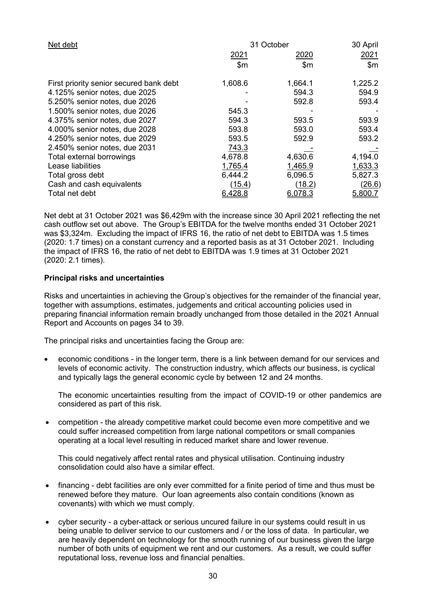| Net debt                                | 31 October   | 30 April     |         |
|-----------------------------------------|--------------|--------------|---------|
|                                         | 2021         | 2020         | 2021    |
|                                         | $\mathsf{m}$ | $\mathsf{m}$ | \$m\$   |
| First priority senior secured bank debt | 1,608.6      | 1,664.1      | 1,225.2 |
| 4.125% senior notes, due 2025           |              | 594.3        | 594.9   |
| 5.250% senior notes, due 2026           |              | 592.8        | 593.4   |
| 1.500% senior notes, due 2026           | 545.3        |              |         |
| 4.375% senior notes, due 2027           | 594.3        | 593.5        | 593.9   |
| 4.000% senior notes, due 2028           | 593.8        | 593.0        | 593.4   |
| 4.250% senior notes, due 2029           | 593.5        | 592.9        | 593.2   |
| 2.450% senior notes, due 2031           | 743.3        |              |         |
| Total external borrowings               | 4,678.8      | 4,630.6      | 4,194.0 |
| Lease liabilities                       | 1,765.4      | 1,465.9      | 1,633.3 |
| Total gross debt                        | 6,444.2      | 6,096.5      | 5,827.3 |
| Cash and cash equivalents               | (15.4)       | (18.2)       | (26.6)  |
| Total net debt                          | 6.428.8      | 6,078.3      | 5,800.7 |

Net debt at 31 October 2021 was \$6,429m with the increase since 30 April 2021 reflecting the net cash outflow set out above. The Group's EBITDA for the twelve months ended 31 October 2021 was \$3,324m. Excluding the impact of IFRS 16, the ratio of net debt to EBITDA was 1.5 times (2020: 1.7 times) on a constant currency and a reported basis as at 31 October 2021. Including the impact of IFRS 16, the ratio of net debt to EBITDA was 1.9 times at 31 October 2021 (2020: 2.1 times).

### **Principal risks and uncertainties**

Risks and uncertainties in achieving the Group's objectives for the remainder of the financial year, together with assumptions, estimates, judgements and critical accounting policies used in preparing financial information remain broadly unchanged from those detailed in the 2021 Annual Report and Accounts on pages 34 to 39.

The principal risks and uncertainties facing the Group are:

• economic conditions - in the longer term, there is a link between demand for our services and levels of economic activity. The construction industry, which affects our business, is cyclical and typically lags the general economic cycle by between 12 and 24 months.

The economic uncertainties resulting from the impact of COVID-19 or other pandemics are considered as part of this risk.

• competition - the already competitive market could become even more competitive and we could suffer increased competition from large national competitors or small companies operating at a local level resulting in reduced market share and lower revenue.

This could negatively affect rental rates and physical utilisation. Continuing industry consolidation could also have a similar effect.

- financing debt facilities are only ever committed for a finite period of time and thus must be renewed before they mature. Our loan agreements also contain conditions (known as covenants) with which we must comply.
- cyber security a cyber-attack or serious uncured failure in our systems could result in us being unable to deliver service to our customers and / or the loss of data. In particular, we are heavily dependent on technology for the smooth running of our business given the large number of both units of equipment we rent and our customers. As a result, we could suffer reputational loss, revenue loss and financial penalties.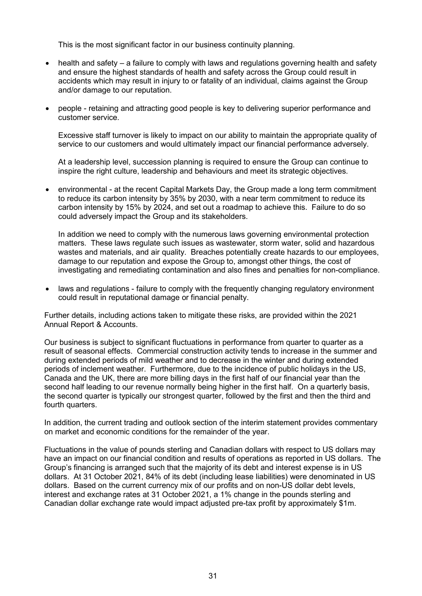This is the most significant factor in our business continuity planning.

- health and safety a failure to comply with laws and regulations governing health and safety and ensure the highest standards of health and safety across the Group could result in accidents which may result in injury to or fatality of an individual, claims against the Group and/or damage to our reputation.
- people retaining and attracting good people is key to delivering superior performance and customer service.

Excessive staff turnover is likely to impact on our ability to maintain the appropriate quality of service to our customers and would ultimately impact our financial performance adversely.

At a leadership level, succession planning is required to ensure the Group can continue to inspire the right culture, leadership and behaviours and meet its strategic objectives.

• environmental - at the recent Capital Markets Day, the Group made a long term commitment to reduce its carbon intensity by 35% by 2030, with a near term commitment to reduce its carbon intensity by 15% by 2024, and set out a roadmap to achieve this. Failure to do so could adversely impact the Group and its stakeholders.

In addition we need to comply with the numerous laws governing environmental protection matters. These laws regulate such issues as wastewater, storm water, solid and hazardous wastes and materials, and air quality. Breaches potentially create hazards to our employees, damage to our reputation and expose the Group to, amongst other things, the cost of investigating and remediating contamination and also fines and penalties for non-compliance.

• laws and regulations - failure to comply with the frequently changing regulatory environment could result in reputational damage or financial penalty.

Further details, including actions taken to mitigate these risks, are provided within the 2021 Annual Report & Accounts.

Our business is subject to significant fluctuations in performance from quarter to quarter as a result of seasonal effects. Commercial construction activity tends to increase in the summer and during extended periods of mild weather and to decrease in the winter and during extended periods of inclement weather. Furthermore, due to the incidence of public holidays in the US, Canada and the UK, there are more billing days in the first half of our financial year than the second half leading to our revenue normally being higher in the first half. On a quarterly basis, the second quarter is typically our strongest quarter, followed by the first and then the third and fourth quarters.

In addition, the current trading and outlook section of the interim statement provides commentary on market and economic conditions for the remainder of the year.

Fluctuations in the value of pounds sterling and Canadian dollars with respect to US dollars may have an impact on our financial condition and results of operations as reported in US dollars. The Group's financing is arranged such that the majority of its debt and interest expense is in US dollars. At 31 October 2021, 84% of its debt (including lease liabilities) were denominated in US dollars. Based on the current currency mix of our profits and on non-US dollar debt levels, interest and exchange rates at 31 October 2021, a 1% change in the pounds sterling and Canadian dollar exchange rate would impact adjusted pre-tax profit by approximately \$1m.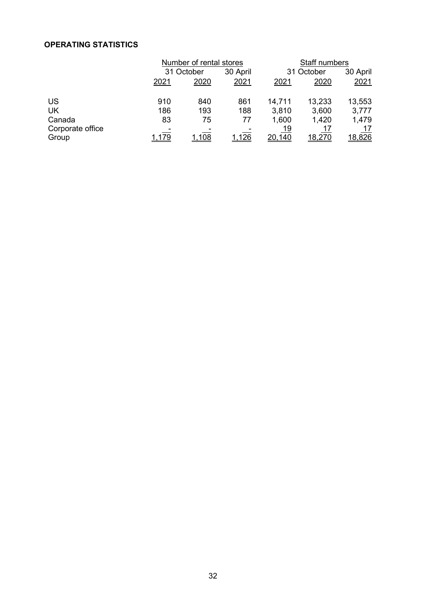# **OPERATING STATISTICS**

|              |      |              | Staff numbers           |              |              |
|--------------|------|--------------|-------------------------|--------------|--------------|
| 31 October   |      | 30 April     | 31 October              |              | 30 April     |
| <u> 2021</u> | 2020 | 2021         | 2021                    | 2020         | 2021         |
| 910          | 840  | 861          | 14,711                  | 13,233       | 13,553       |
| 186          | 193  | 188          | 3,810                   | 3,600        | 3,777        |
| 83           | 75   | 77           | 1,600                   | 1,420        | 1,479        |
|              | 108  | <u>1,126</u> | 19<br>20,140            | 17<br>18,270 | 17<br>18,826 |
|              |      |              | Number of rental stores |              |              |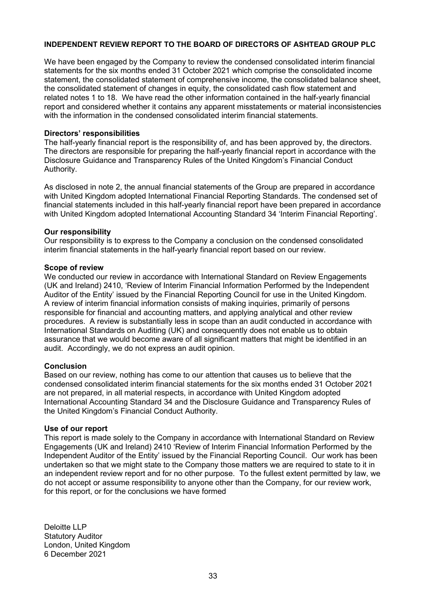### **INDEPENDENT REVIEW REPORT TO THE BOARD OF DIRECTORS OF ASHTEAD GROUP PLC**

We have been engaged by the Company to review the condensed consolidated interim financial statements for the six months ended 31 October 2021 which comprise the consolidated income statement, the consolidated statement of comprehensive income, the consolidated balance sheet, the consolidated statement of changes in equity, the consolidated cash flow statement and related notes 1 to 18. We have read the other information contained in the half-yearly financial report and considered whether it contains any apparent misstatements or material inconsistencies with the information in the condensed consolidated interim financial statements.

### **Directors' responsibilities**

The half-yearly financial report is the responsibility of, and has been approved by, the directors. The directors are responsible for preparing the half-yearly financial report in accordance with the Disclosure Guidance and Transparency Rules of the United Kingdom's Financial Conduct Authority.

As disclosed in note 2, the annual financial statements of the Group are prepared in accordance with United Kingdom adopted International Financial Reporting Standards. The condensed set of financial statements included in this half-yearly financial report have been prepared in accordance with United Kingdom adopted International Accounting Standard 34 'Interim Financial Reporting'.

### **Our responsibility**

Our responsibility is to express to the Company a conclusion on the condensed consolidated interim financial statements in the half-yearly financial report based on our review.

### **Scope of review**

We conducted our review in accordance with International Standard on Review Engagements (UK and Ireland) 2410, 'Review of Interim Financial Information Performed by the Independent Auditor of the Entity' issued by the Financial Reporting Council for use in the United Kingdom. A review of interim financial information consists of making inquiries, primarily of persons responsible for financial and accounting matters, and applying analytical and other review procedures. A review is substantially less in scope than an audit conducted in accordance with International Standards on Auditing (UK) and consequently does not enable us to obtain assurance that we would become aware of all significant matters that might be identified in an audit. Accordingly, we do not express an audit opinion.

### **Conclusion**

Based on our review, nothing has come to our attention that causes us to believe that the condensed consolidated interim financial statements for the six months ended 31 October 2021 are not prepared, in all material respects, in accordance with United Kingdom adopted International Accounting Standard 34 and the Disclosure Guidance and Transparency Rules of the United Kingdom's Financial Conduct Authority.

#### **Use of our report**

This report is made solely to the Company in accordance with International Standard on Review Engagements (UK and Ireland) 2410 'Review of Interim Financial Information Performed by the Independent Auditor of the Entity' issued by the Financial Reporting Council. Our work has been undertaken so that we might state to the Company those matters we are required to state to it in an independent review report and for no other purpose. To the fullest extent permitted by law, we do not accept or assume responsibility to anyone other than the Company, for our review work, for this report, or for the conclusions we have formed

Deloitte LLP Statutory Auditor London, United Kingdom 6 December 2021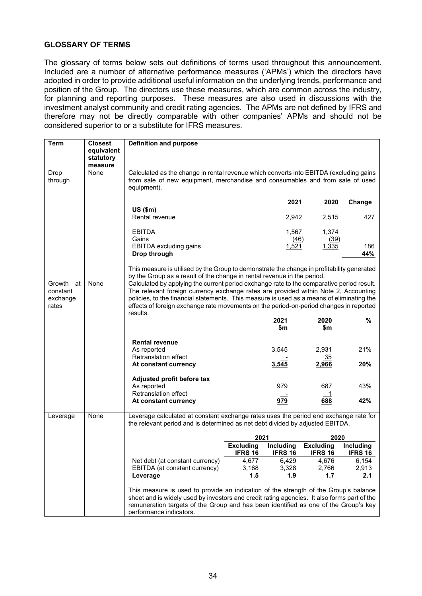# **GLOSSARY OF TERMS**

The glossary of terms below sets out definitions of terms used throughout this announcement. Included are a number of alternative performance measures ('APMs') which the directors have adopted in order to provide additional useful information on the underlying trends, performance and position of the Group. The directors use these measures, which are common across the industry, for planning and reporting purposes. These measures are also used in discussions with the investment analyst community and credit rating agencies. The APMs are not defined by IFRS and therefore may not be directly comparable with other companies' APMs and should not be considered superior to or a substitute for IFRS measures.

| <b>Term</b>                                   | <b>Closest</b>                     | <b>Definition and purpose</b>                                                                                                                                                                                                                                                                                                                                                       |                                    |                             |                                    |                                    |
|-----------------------------------------------|------------------------------------|-------------------------------------------------------------------------------------------------------------------------------------------------------------------------------------------------------------------------------------------------------------------------------------------------------------------------------------------------------------------------------------|------------------------------------|-----------------------------|------------------------------------|------------------------------------|
|                                               | equivalent<br>statutory<br>measure |                                                                                                                                                                                                                                                                                                                                                                                     |                                    |                             |                                    |                                    |
| Drop<br>through                               | None                               | Calculated as the change in rental revenue which converts into EBITDA (excluding gains<br>from sale of new equipment, merchandise and consumables and from sale of used<br>equipment).                                                                                                                                                                                              |                                    |                             |                                    |                                    |
|                                               |                                    |                                                                                                                                                                                                                                                                                                                                                                                     |                                    | 2021                        | 2020                               | Change                             |
|                                               |                                    | $US$ (\$m)<br>Rental revenue                                                                                                                                                                                                                                                                                                                                                        |                                    | 2,942                       | 2,515                              | 427                                |
|                                               |                                    | <b>EBITDA</b><br>Gains                                                                                                                                                                                                                                                                                                                                                              |                                    | 1,567<br>(46)               | 1,374<br>(39)                      |                                    |
|                                               |                                    | EBITDA excluding gains<br>Drop through                                                                                                                                                                                                                                                                                                                                              |                                    | 1,521                       | <u>1,335</u>                       | 186<br>44%                         |
|                                               |                                    | This measure is utilised by the Group to demonstrate the change in profitability generated<br>by the Group as a result of the change in rental revenue in the period.                                                                                                                                                                                                               |                                    |                             |                                    |                                    |
| Growth<br>at<br>constant<br>exchange<br>rates | None                               | Calculated by applying the current period exchange rate to the comparative period result.<br>The relevant foreign currency exchange rates are provided within Note 2, Accounting<br>policies, to the financial statements. This measure is used as a means of eliminating the<br>effects of foreign exchange rate movements on the period-on-period changes in reported<br>results. |                                    |                             |                                    |                                    |
|                                               |                                    |                                                                                                                                                                                                                                                                                                                                                                                     |                                    | 2021<br>\$m                 | 2020<br>\$m                        | %                                  |
|                                               |                                    | <b>Rental revenue</b>                                                                                                                                                                                                                                                                                                                                                               |                                    |                             |                                    |                                    |
|                                               |                                    | As reported<br><b>Retranslation effect</b>                                                                                                                                                                                                                                                                                                                                          |                                    | 3,545                       | 2,931<br>$\frac{35}{5}$            | 21%                                |
|                                               |                                    | At constant currency                                                                                                                                                                                                                                                                                                                                                                |                                    | 3,545                       | 2,966                              | 20%                                |
|                                               |                                    | Adjusted profit before tax<br>As reported                                                                                                                                                                                                                                                                                                                                           |                                    | 979                         | 687                                | 43%                                |
|                                               |                                    | Retranslation effect<br>At constant currency                                                                                                                                                                                                                                                                                                                                        |                                    | 979                         | 688                                | 42%                                |
| Leverage                                      | None                               | Leverage calculated at constant exchange rates uses the period end exchange rate for<br>the relevant period and is determined as net debt divided by adjusted EBITDA.                                                                                                                                                                                                               |                                    |                             |                                    |                                    |
|                                               |                                    | 2021<br>2020                                                                                                                                                                                                                                                                                                                                                                        |                                    |                             |                                    |                                    |
|                                               |                                    |                                                                                                                                                                                                                                                                                                                                                                                     | <b>Excluding</b><br><b>IFRS 16</b> | Including<br><b>IFRS 16</b> | <b>Excluding</b><br><b>IFRS 16</b> | <b>Including</b><br><b>IFRS 16</b> |
|                                               |                                    | Net debt (at constant currency)<br>EBITDA (at constant currency)                                                                                                                                                                                                                                                                                                                    | 4,677<br>3,168                     | 6,429<br>3,328              | 4,676<br>2,766                     | 6,154<br>2,913                     |
|                                               |                                    | Leverage                                                                                                                                                                                                                                                                                                                                                                            | 1.5                                | 1.9                         | 1.7                                | 2.1                                |
|                                               |                                    | This measure is used to provide an indication of the strength of the Group's balance<br>sheet and is widely used by investors and credit rating agencies. It also forms part of the<br>remuneration targets of the Group and has been identified as one of the Group's key<br>performance indicators.                                                                               |                                    |                             |                                    |                                    |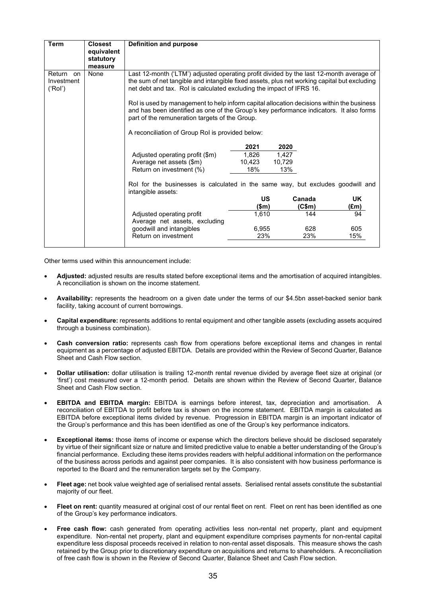| <b>Term</b>                           | <b>Closest</b>                     | Definition and purpose                                                                                                                                                                                                                                                                                                                                                                                                                                                                                                                                       |                                                                        |                                                                         |                                |
|---------------------------------------|------------------------------------|--------------------------------------------------------------------------------------------------------------------------------------------------------------------------------------------------------------------------------------------------------------------------------------------------------------------------------------------------------------------------------------------------------------------------------------------------------------------------------------------------------------------------------------------------------------|------------------------------------------------------------------------|-------------------------------------------------------------------------|--------------------------------|
|                                       | equivalent<br>statutory<br>measure |                                                                                                                                                                                                                                                                                                                                                                                                                                                                                                                                                              |                                                                        |                                                                         |                                |
| Return<br>on<br>Investment<br>('Rol') | None                               | Last 12-month ('LTM') adjusted operating profit divided by the last 12-month average of<br>the sum of net tangible and intangible fixed assets, plus net working capital but excluding<br>net debt and tax. Rol is calculated excluding the impact of IFRS 16.<br>Rol is used by management to help inform capital allocation decisions within the business<br>and has been identified as one of the Group's key performance indicators. It also forms<br>part of the remuneration targets of the Group.<br>A reconciliation of Group RoI is provided below: |                                                                        |                                                                         |                                |
|                                       |                                    | Adjusted operating profit (\$m)<br>Average net assets (\$m)<br>Return on investment (%)<br>Rol for the businesses is calculated in the same way, but excludes goodwill and<br>intangible assets:<br>Adjusted operating profit<br>Average net assets, excluding<br>goodwill and intangibles<br>Return on investment                                                                                                                                                                                                                                           | 2021<br>1,826<br>10,423<br>18%<br>US<br>(\$m)<br>1,610<br>6,955<br>23% | 2020<br>1,427<br>10,729<br>13%<br>Canada<br>(C\$m)<br>144<br>628<br>23% | UK<br>(£m)<br>94<br>605<br>15% |

Other terms used within this announcement include:

- **Adjusted:** adjusted results are results stated before exceptional items and the amortisation of acquired intangibles. A reconciliation is shown on the income statement.
- **Availability:** represents the headroom on a given date under the terms of our \$4.5bn asset-backed senior bank facility, taking account of current borrowings.
- **Capital expenditure:** represents additions to rental equipment and other tangible assets (excluding assets acquired through a business combination).
- **Cash conversion ratio:** represents cash flow from operations before exceptional items and changes in rental equipment as a percentage of adjusted EBITDA. Details are provided within the Review of Second Quarter, Balance Sheet and Cash Flow section.
- **Dollar utilisation:** dollar utilisation is trailing 12-month rental revenue divided by average fleet size at original (or 'first') cost measured over a 12-month period. Details are shown within the Review of Second Quarter, Balance Sheet and Cash Flow section.
- **EBITDA and EBITDA margin:** EBITDA is earnings before interest, tax, depreciation and amortisation. A reconciliation of EBITDA to profit before tax is shown on the income statement. EBITDA margin is calculated as EBITDA before exceptional items divided by revenue. Progression in EBITDA margin is an important indicator of the Group's performance and this has been identified as one of the Group's key performance indicators.
- **Exceptional items:** those items of income or expense which the directors believe should be disclosed separately by virtue of their significant size or nature and limited predictive value to enable a better understanding of the Group's financial performance. Excluding these items provides readers with helpful additional information on the performance of the business across periods and against peer companies. It is also consistent with how business performance is reported to the Board and the remuneration targets set by the Company.
- **Fleet age:** net book value weighted age of serialised rental assets. Serialised rental assets constitute the substantial majority of our fleet.
- **Fleet on rent:** quantity measured at original cost of our rental fleet on rent. Fleet on rent has been identified as one of the Group's key performance indicators.
- **Free cash flow:** cash generated from operating activities less non-rental net property, plant and equipment expenditure. Non-rental net property, plant and equipment expenditure comprises payments for non-rental capital expenditure less disposal proceeds received in relation to non-rental asset disposals. This measure shows the cash retained by the Group prior to discretionary expenditure on acquisitions and returns to shareholders. A reconciliation of free cash flow is shown in the Review of Second Quarter, Balance Sheet and Cash Flow section.